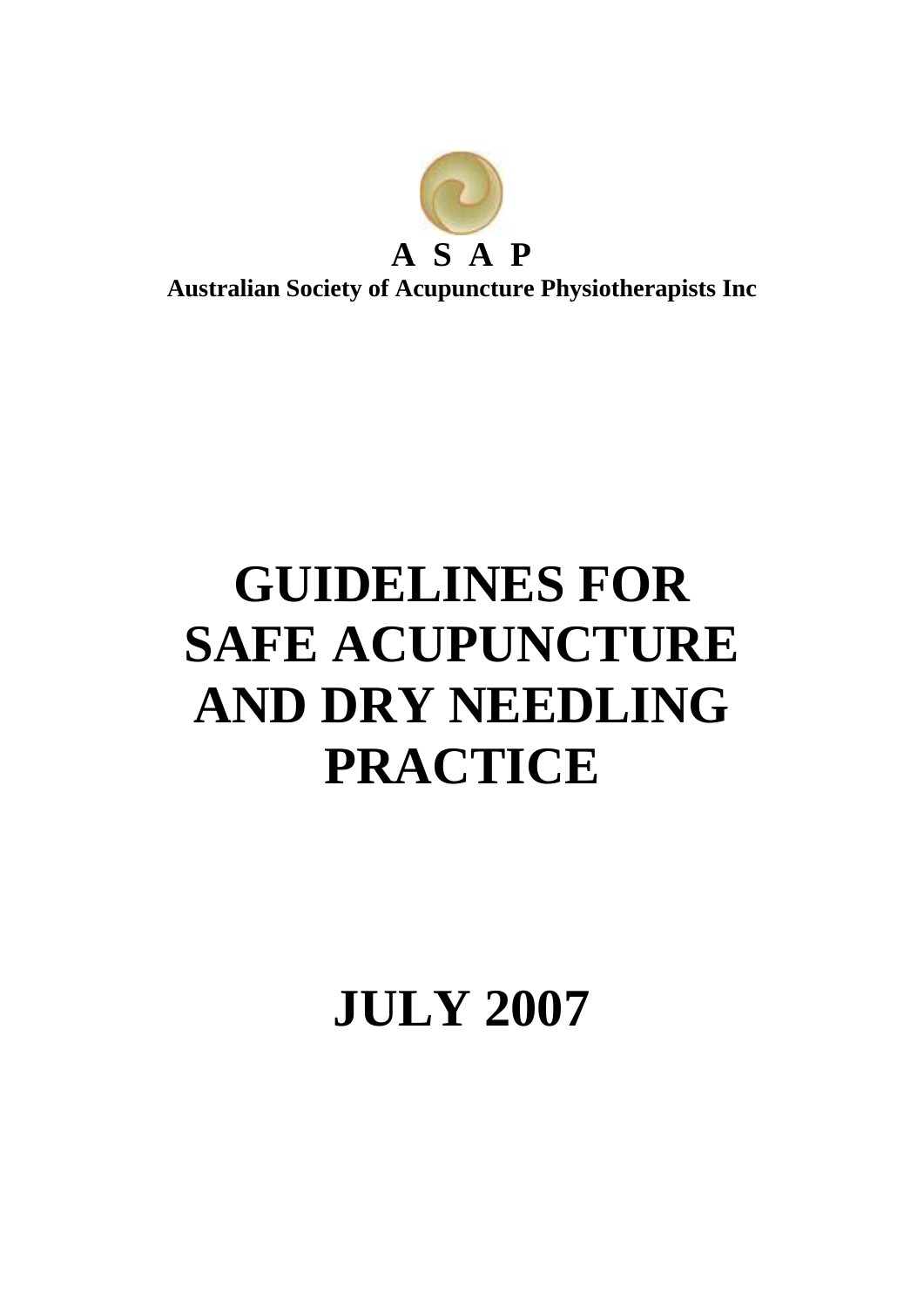

# **GUIDELINES FOR SAFE ACUPUNCTURE AND DRY NEEDLING PRACTICE**

**JULY 2007**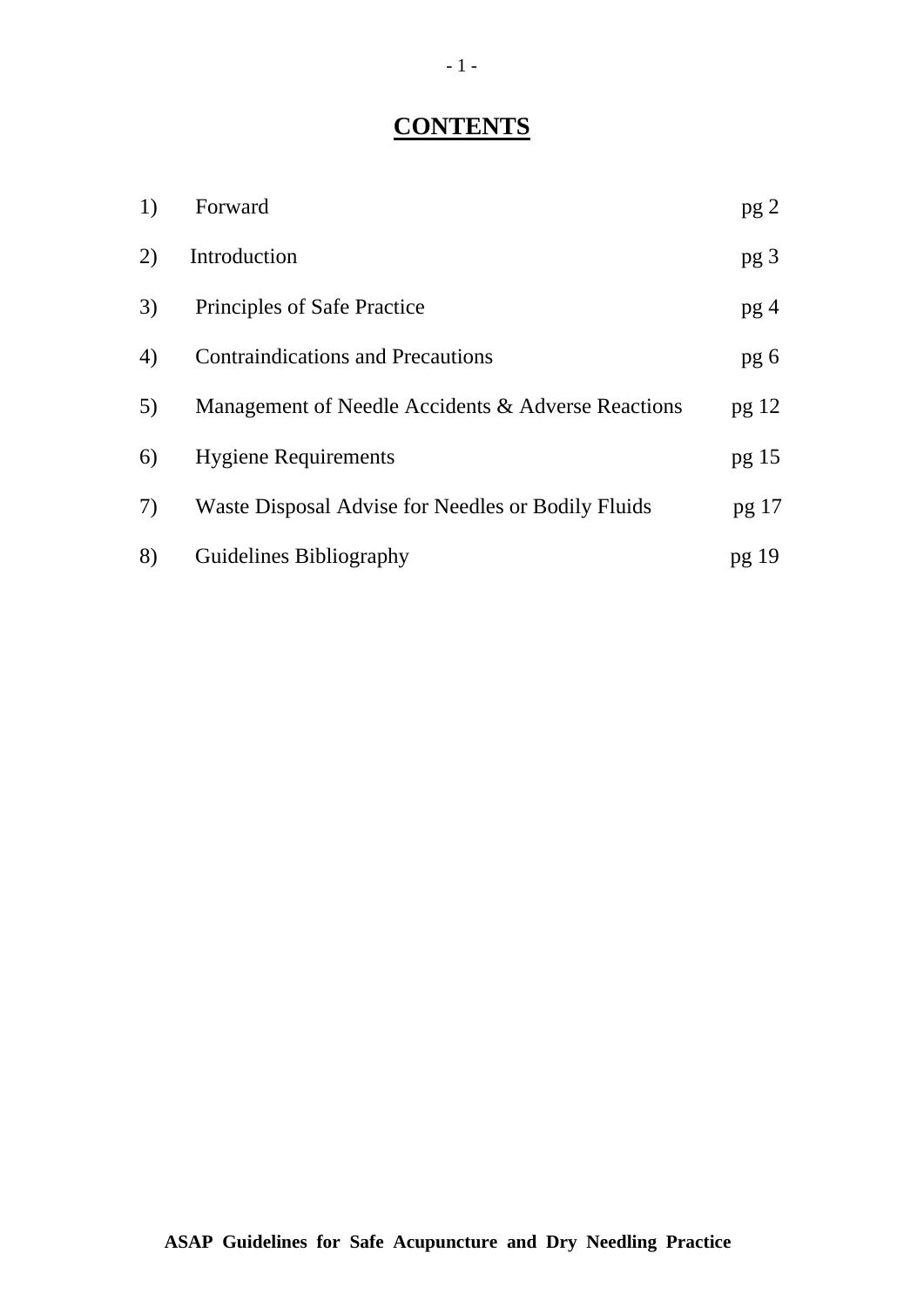# **CONTENTS**

| 1) | Forward                                            | pg <sub>2</sub> |
|----|----------------------------------------------------|-----------------|
| 2) | Introduction                                       | pg <sub>3</sub> |
| 3) | Principles of Safe Practice                        | pg <sub>4</sub> |
| 4) | <b>Contraindications and Precautions</b>           | pg 6            |
| 5) | Management of Needle Accidents & Adverse Reactions | pg 12           |
| 6) | <b>Hygiene Requirements</b>                        | pg 15           |
| 7) | Waste Disposal Advise for Needles or Bodily Fluids | pg 17           |
| 8) | Guidelines Bibliography                            | pg 19           |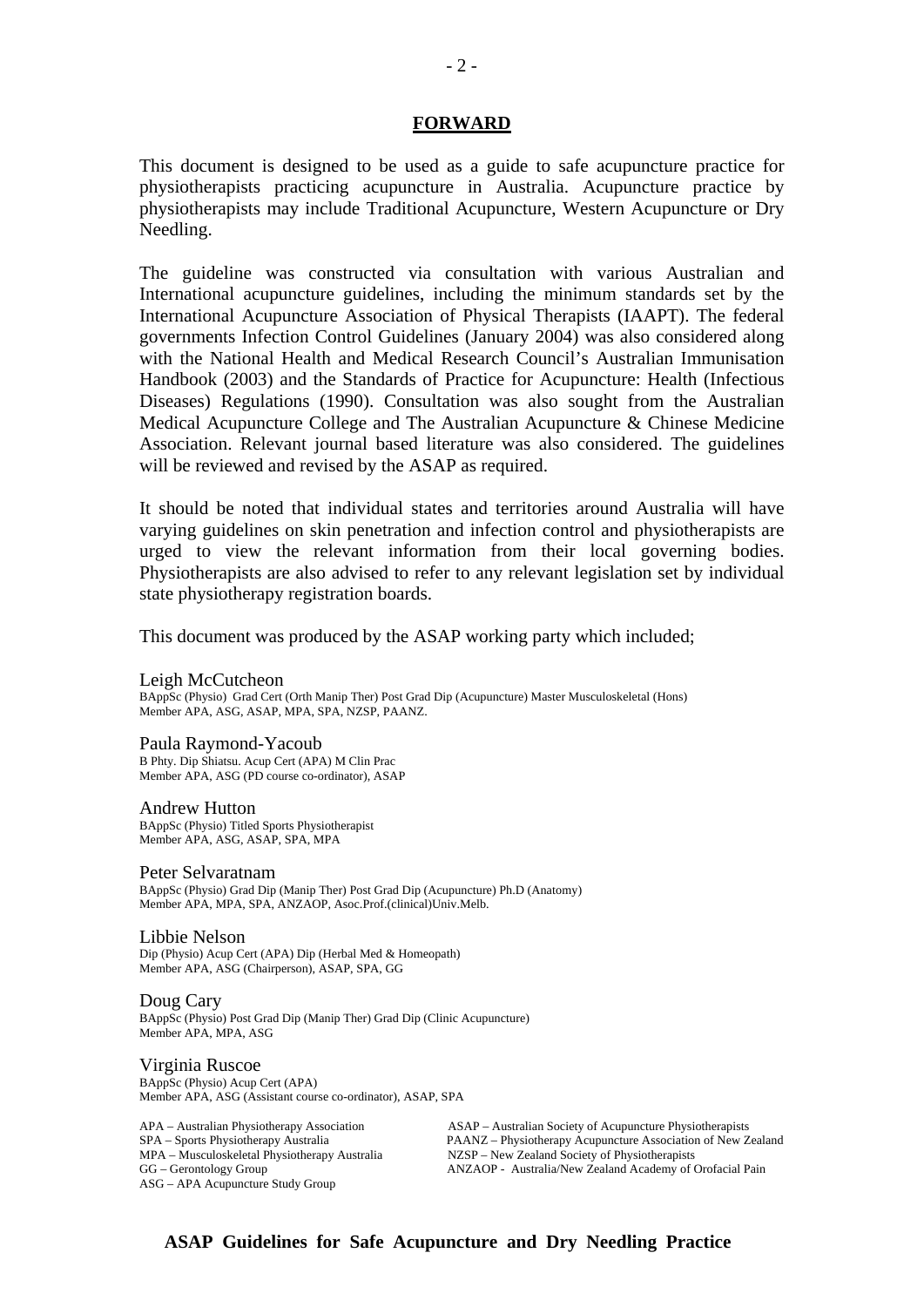#### **FORWARD**

This document is designed to be used as a guide to safe acupuncture practice for physiotherapists practicing acupuncture in Australia. Acupuncture practice by physiotherapists may include Traditional Acupuncture, Western Acupuncture or Dry Needling.

The guideline was constructed via consultation with various Australian and International acupuncture guidelines, including the minimum standards set by the International Acupuncture Association of Physical Therapists (IAAPT). The federal governments Infection Control Guidelines (January 2004) was also considered along with the National Health and Medical Research Council's Australian Immunisation Handbook (2003) and the Standards of Practice for Acupuncture: Health (Infectious Diseases) Regulations (1990). Consultation was also sought from the Australian Medical Acupuncture College and The Australian Acupuncture & Chinese Medicine Association. Relevant journal based literature was also considered. The guidelines will be reviewed and revised by the ASAP as required.

It should be noted that individual states and territories around Australia will have varying guidelines on skin penetration and infection control and physiotherapists are urged to view the relevant information from their local governing bodies. Physiotherapists are also advised to refer to any relevant legislation set by individual state physiotherapy registration boards.

This document was produced by the ASAP working party which included;

#### Leigh McCutcheon

BAppSc (Physio) Grad Cert (Orth Manip Ther) Post Grad Dip (Acupuncture) Master Musculoskeletal (Hons) Member APA, ASG, ASAP, MPA, SPA, NZSP, PAANZ.

Paula Raymond-Yacoub B Phty. Dip Shiatsu. Acup Cert (APA) M Clin Prac Member APA, ASG (PD course co-ordinator), ASAP

Andrew Hutton

BAppSc (Physio) Titled Sports Physiotherapist Member APA, ASG, ASAP, SPA, MPA

#### Peter Selvaratnam

BAppSc (Physio) Grad Dip (Manip Ther) Post Grad Dip (Acupuncture) Ph.D (Anatomy) Member APA, MPA, SPA, ANZAOP, Asoc.Prof.(clinical)Univ.Melb.

#### Libbie Nelson

Dip (Physio) Acup Cert (APA) Dip (Herbal Med & Homeopath) Member APA, ASG (Chairperson), ASAP, SPA, GG

Doug Cary BAppSc (Physio) Post Grad Dip (Manip Ther) Grad Dip (Clinic Acupuncture) Member APA, MPA, ASG

#### Virginia Ruscoe

BAppSc (Physio) Acup Cert (APA) Member APA, ASG (Assistant course co-ordinator), ASAP, SPA

ASG – APA Acupuncture Study Group

APA – Australian Physiotherapy Association (ASAP – Australian Society of Acupuncture Physiotherapists SPA – Sports Physiotherapy Australia (PAANZ – Physiotherapy Acupuncture Association of New Z PAANZ – Physiotherapy Acupuncture Association of New Zealand MPA – Musculoskeletal Physiotherapy Australia NZSP – New Zealand Society of Physiotherapists ANZAOP - Australia/New Zealand Academy of Orofacial Pain

 $-2-$ 

**ASAP Guidelines for Safe Acupuncture and Dry Needling Practice**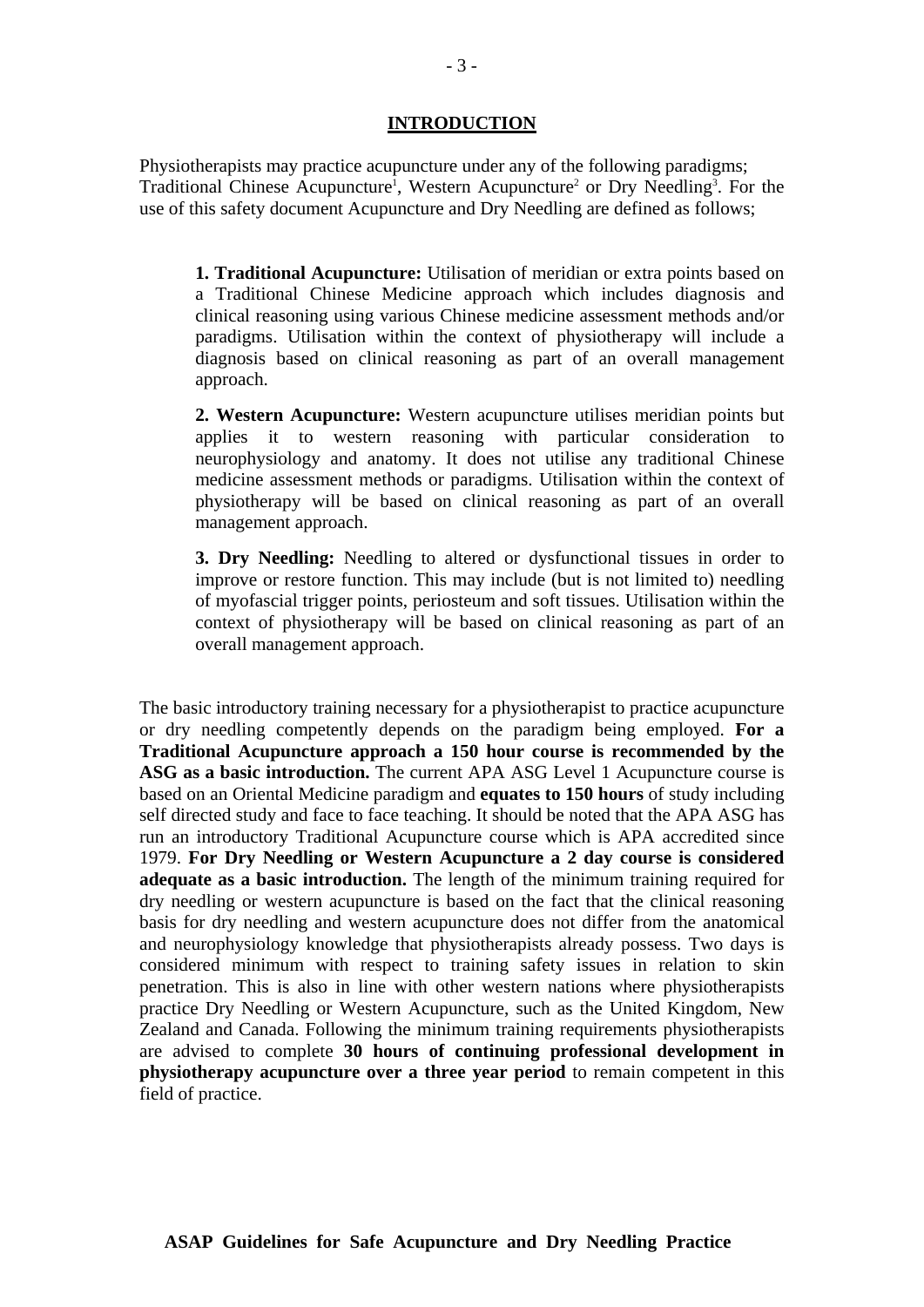#### **INTRODUCTION**

Physiotherapists may practice acupuncture under any of the following paradigms; Traditional Chinese Acupuncture<sup>1</sup>, Western Acupuncture<sup>2</sup> or Dry Needling<sup>3</sup>. For the use of this safety document Acupuncture and Dry Needling are defined as follows;

**1. Traditional Acupuncture:** Utilisation of meridian or extra points based on a Traditional Chinese Medicine approach which includes diagnosis and clinical reasoning using various Chinese medicine assessment methods and/or paradigms. Utilisation within the context of physiotherapy will include a diagnosis based on clinical reasoning as part of an overall management approach.

**2. Western Acupuncture:** Western acupuncture utilises meridian points but applies it to western reasoning with particular consideration to neurophysiology and anatomy. It does not utilise any traditional Chinese medicine assessment methods or paradigms. Utilisation within the context of physiotherapy will be based on clinical reasoning as part of an overall management approach.

**3. Dry Needling:** Needling to altered or dysfunctional tissues in order to improve or restore function. This may include (but is not limited to) needling of myofascial trigger points, periosteum and soft tissues. Utilisation within the context of physiotherapy will be based on clinical reasoning as part of an overall management approach.

The basic introductory training necessary for a physiotherapist to practice acupuncture or dry needling competently depends on the paradigm being employed. **For a Traditional Acupuncture approach a 150 hour course is recommended by the ASG as a basic introduction.** The current APA ASG Level 1 Acupuncture course is based on an Oriental Medicine paradigm and **equates to 150 hours** of study including self directed study and face to face teaching. It should be noted that the APA ASG has run an introductory Traditional Acupuncture course which is APA accredited since 1979. **For Dry Needling or Western Acupuncture a 2 day course is considered adequate as a basic introduction.** The length of the minimum training required for dry needling or western acupuncture is based on the fact that the clinical reasoning basis for dry needling and western acupuncture does not differ from the anatomical and neurophysiology knowledge that physiotherapists already possess. Two days is considered minimum with respect to training safety issues in relation to skin penetration. This is also in line with other western nations where physiotherapists practice Dry Needling or Western Acupuncture, such as the United Kingdom, New Zealand and Canada. Following the minimum training requirements physiotherapists are advised to complete **30 hours of continuing professional development in physiotherapy acupuncture over a three year period** to remain competent in this field of practice.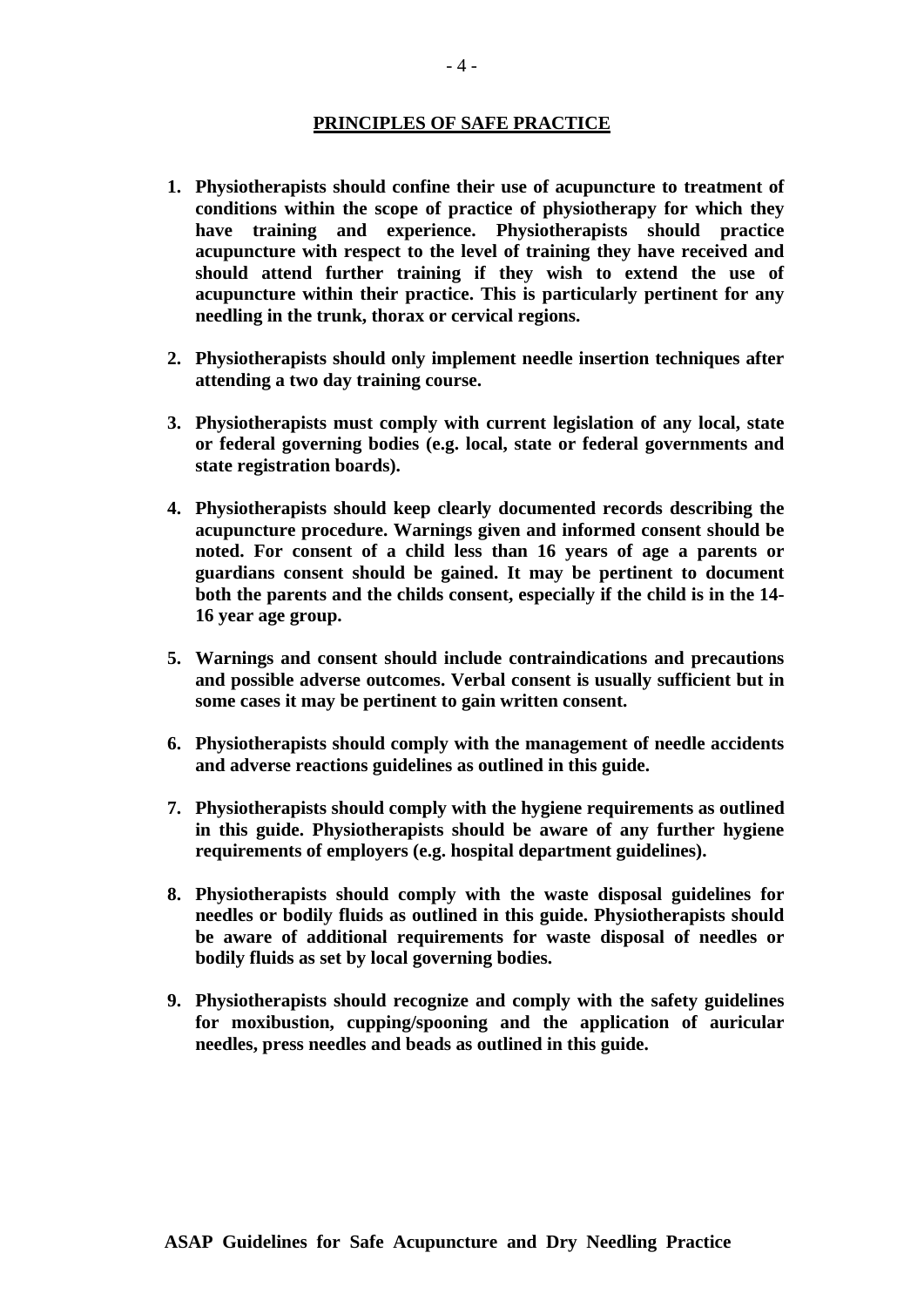#### **PRINCIPLES OF SAFE PRACTICE**

- **1. Physiotherapists should confine their use of acupuncture to treatment of conditions within the scope of practice of physiotherapy for which they have training and experience. Physiotherapists should practice acupuncture with respect to the level of training they have received and should attend further training if they wish to extend the use of acupuncture within their practice. This is particularly pertinent for any needling in the trunk, thorax or cervical regions.**
- **2. Physiotherapists should only implement needle insertion techniques after attending a two day training course.**
- **3. Physiotherapists must comply with current legislation of any local, state or federal governing bodies (e.g. local, state or federal governments and state registration boards).**
- **4. Physiotherapists should keep clearly documented records describing the acupuncture procedure. Warnings given and informed consent should be noted. For consent of a child less than 16 years of age a parents or guardians consent should be gained. It may be pertinent to document both the parents and the childs consent, especially if the child is in the 14- 16 year age group.**
- **5. Warnings and consent should include contraindications and precautions and possible adverse outcomes. Verbal consent is usually sufficient but in some cases it may be pertinent to gain written consent.**
- **6. Physiotherapists should comply with the management of needle accidents and adverse reactions guidelines as outlined in this guide.**
- **7. Physiotherapists should comply with the hygiene requirements as outlined in this guide. Physiotherapists should be aware of any further hygiene requirements of employers (e.g. hospital department guidelines).**
- **8. Physiotherapists should comply with the waste disposal guidelines for needles or bodily fluids as outlined in this guide. Physiotherapists should be aware of additional requirements for waste disposal of needles or bodily fluids as set by local governing bodies.**
- **9. Physiotherapists should recognize and comply with the safety guidelines for moxibustion, cupping/spooning and the application of auricular needles, press needles and beads as outlined in this guide.**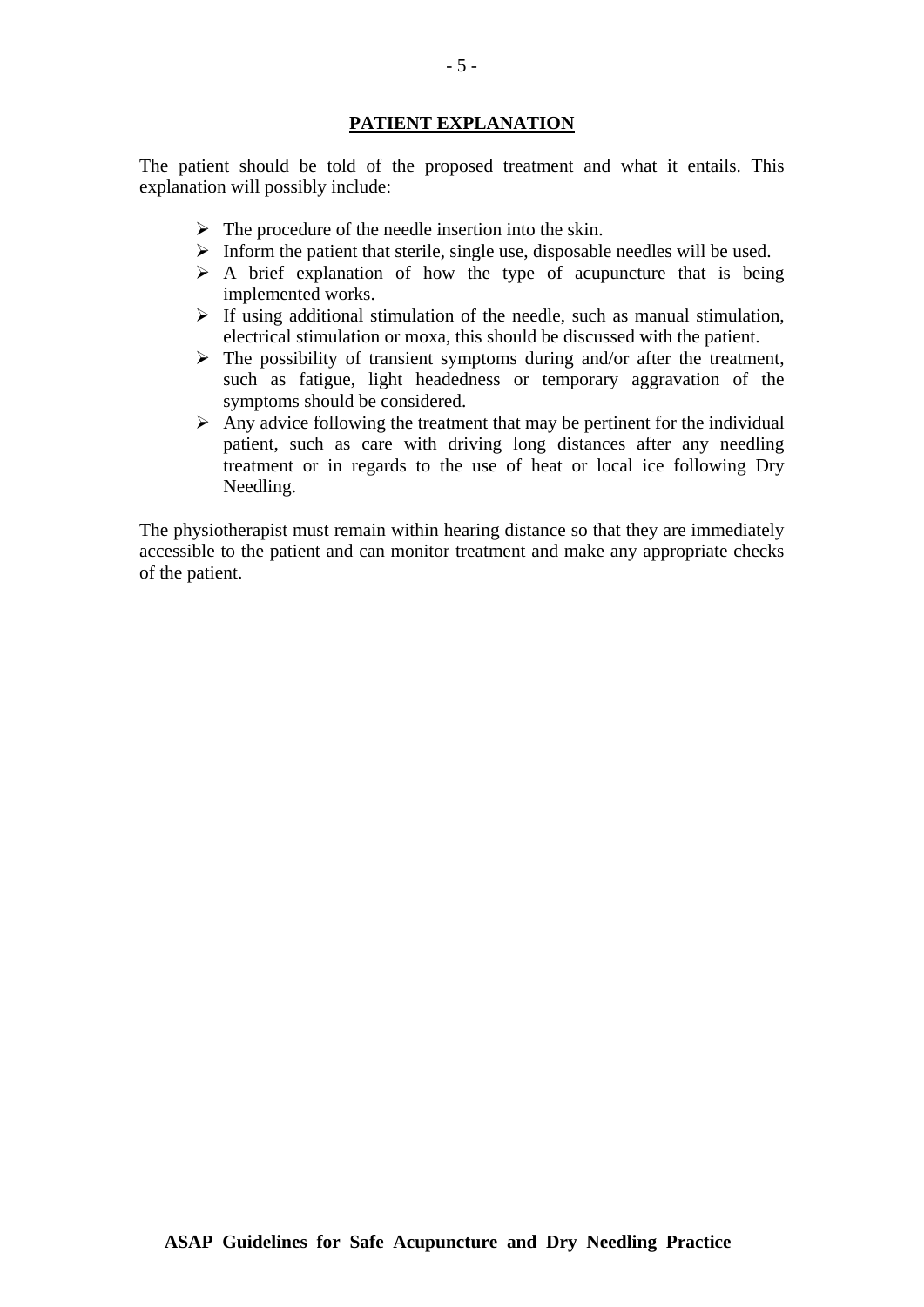#### **PATIENT EXPLANATION**

The patient should be told of the proposed treatment and what it entails. This explanation will possibly include:

- $\triangleright$  The procedure of the needle insertion into the skin.
- $\triangleright$  Inform the patient that sterile, single use, disposable needles will be used.
- $\triangleright$  A brief explanation of how the type of acupuncture that is being implemented works.
- $\triangleright$  If using additional stimulation of the needle, such as manual stimulation, electrical stimulation or moxa, this should be discussed with the patient.
- $\triangleright$  The possibility of transient symptoms during and/or after the treatment, such as fatigue, light headedness or temporary aggravation of the symptoms should be considered.
- $\triangleright$  Any advice following the treatment that may be pertinent for the individual patient, such as care with driving long distances after any needling treatment or in regards to the use of heat or local ice following Dry Needling.

The physiotherapist must remain within hearing distance so that they are immediately accessible to the patient and can monitor treatment and make any appropriate checks of the patient.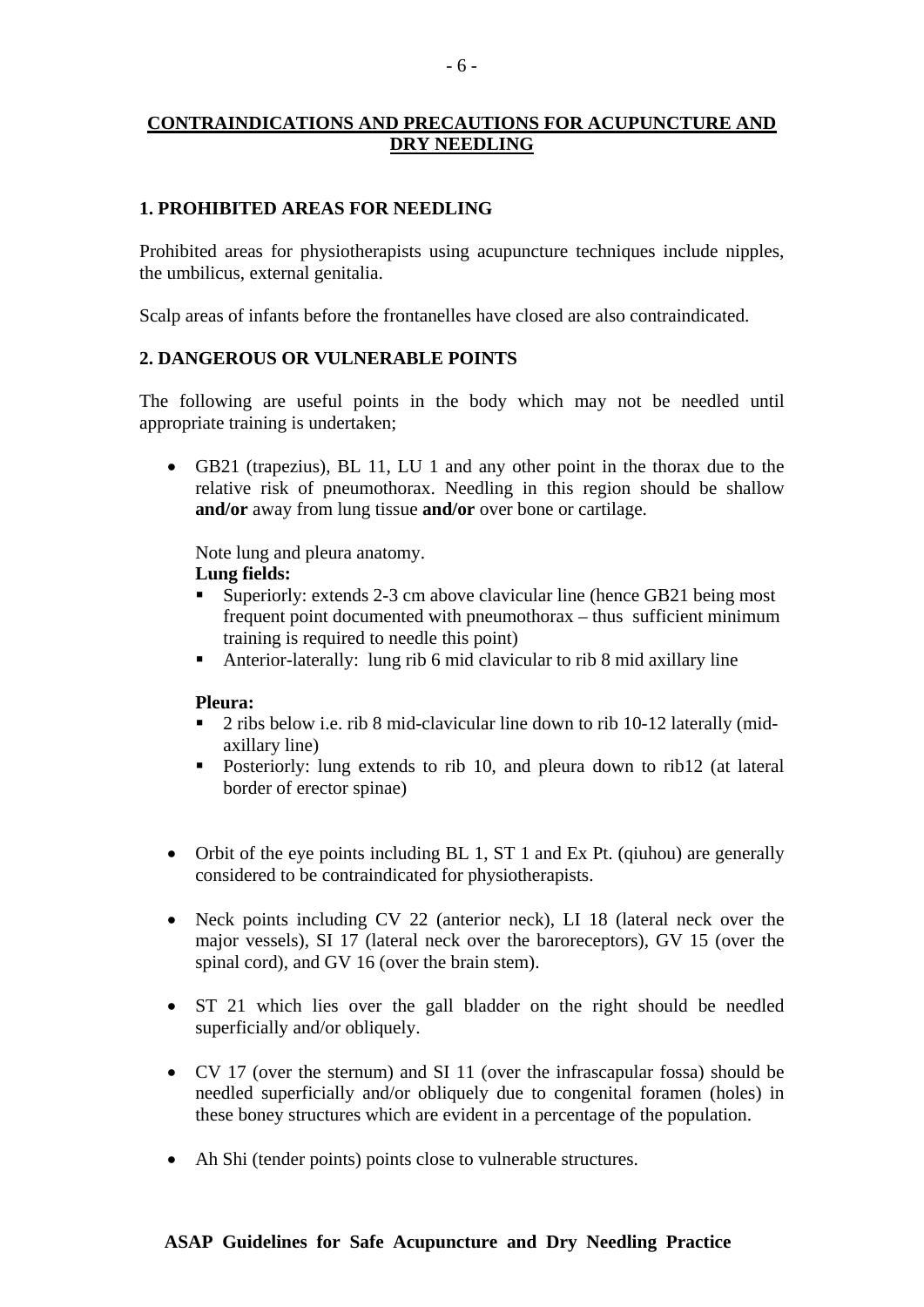# **CONTRAINDICATIONS AND PRECAUTIONS FOR ACUPUNCTURE AND DRY NEEDLING**

#### **1. PROHIBITED AREAS FOR NEEDLING**

Prohibited areas for physiotherapists using acupuncture techniques include nipples, the umbilicus, external genitalia.

Scalp areas of infants before the frontanelles have closed are also contraindicated.

#### **2. DANGEROUS OR VULNERABLE POINTS**

The following are useful points in the body which may not be needled until appropriate training is undertaken;

• GB21 (trapezius), BL 11, LU 1 and any other point in the thorax due to the relative risk of pneumothorax. Needling in this region should be shallow **and/or** away from lung tissue **and/or** over bone or cartilage.

Note lung and pleura anatomy.

# **Lung fields:**

- Superiorly: extends 2-3 cm above clavicular line (hence GB21 being most frequent point documented with pneumothorax – thus sufficient minimum training is required to needle this point)
- Anterior-laterally: lung rib 6 mid clavicular to rib 8 mid axillary line

#### **Pleura:**

- <sup>2</sup> ribs below i.e. rib 8 mid-clavicular line down to rib 10-12 laterally (midaxillary line)
- **Posteriorly:** lung extends to rib 10, and pleura down to rib12 (at lateral border of erector spinae)
- Orbit of the eye points including BL 1, ST 1 and Ex Pt. (qiuhou) are generally considered to be contraindicated for physiotherapists.
- Neck points including CV 22 (anterior neck), LI 18 (lateral neck over the major vessels), SI 17 (lateral neck over the baroreceptors), GV 15 (over the spinal cord), and GV 16 (over the brain stem).
- ST 21 which lies over the gall bladder on the right should be needled superficially and/or obliquely.
- CV 17 (over the sternum) and SI 11 (over the infrascapular fossa) should be needled superficially and/or obliquely due to congenital foramen (holes) in these boney structures which are evident in a percentage of the population.
- Ah Shi (tender points) points close to vulnerable structures.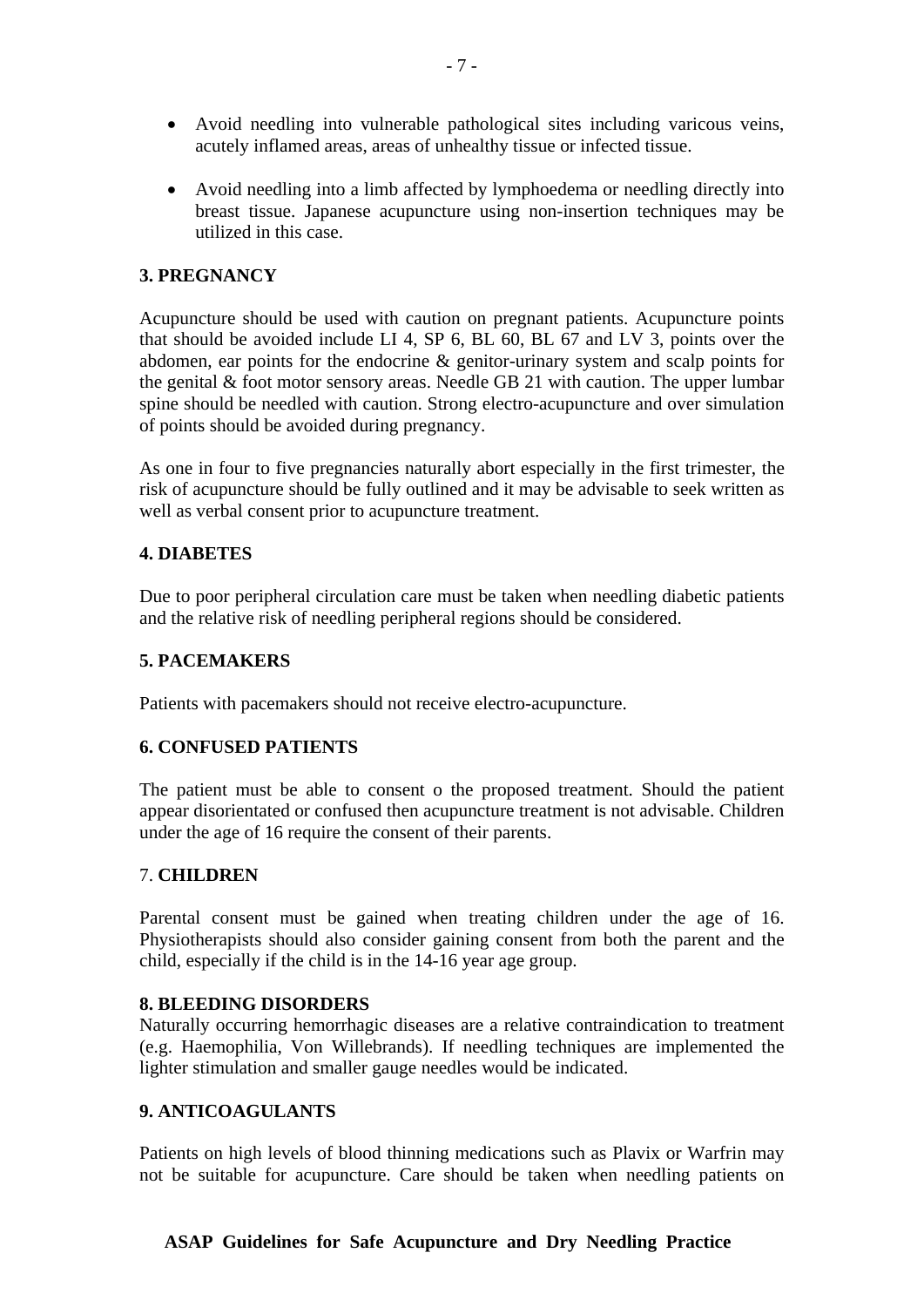- Avoid needling into vulnerable pathological sites including varicous veins, acutely inflamed areas, areas of unhealthy tissue or infected tissue.
- Avoid needling into a limb affected by lymphoedema or needling directly into breast tissue. Japanese acupuncture using non-insertion techniques may be utilized in this case.

#### **3. PREGNANCY**

Acupuncture should be used with caution on pregnant patients. Acupuncture points that should be avoided include LI 4, SP 6, BL 60, BL 67 and LV 3, points over the abdomen, ear points for the endocrine & genitor-urinary system and scalp points for the genital & foot motor sensory areas. Needle GB 21 with caution. The upper lumbar spine should be needled with caution. Strong electro-acupuncture and over simulation of points should be avoided during pregnancy.

As one in four to five pregnancies naturally abort especially in the first trimester, the risk of acupuncture should be fully outlined and it may be advisable to seek written as well as verbal consent prior to acupuncture treatment.

#### **4. DIABETES**

Due to poor peripheral circulation care must be taken when needling diabetic patients and the relative risk of needling peripheral regions should be considered.

#### **5. PACEMAKERS**

Patients with pacemakers should not receive electro-acupuncture.

#### **6. CONFUSED PATIENTS**

The patient must be able to consent o the proposed treatment. Should the patient appear disorientated or confused then acupuncture treatment is not advisable. Children under the age of 16 require the consent of their parents.

#### 7. **CHILDREN**

Parental consent must be gained when treating children under the age of 16. Physiotherapists should also consider gaining consent from both the parent and the child, especially if the child is in the 14-16 year age group.

#### **8. BLEEDING DISORDERS**

Naturally occurring hemorrhagic diseases are a relative contraindication to treatment (e.g. Haemophilia, Von Willebrands). If needling techniques are implemented the lighter stimulation and smaller gauge needles would be indicated.

#### **9. ANTICOAGULANTS**

Patients on high levels of blood thinning medications such as Plavix or Warfrin may not be suitable for acupuncture. Care should be taken when needling patients on

#### **ASAP Guidelines for Safe Acupuncture and Dry Needling Practice**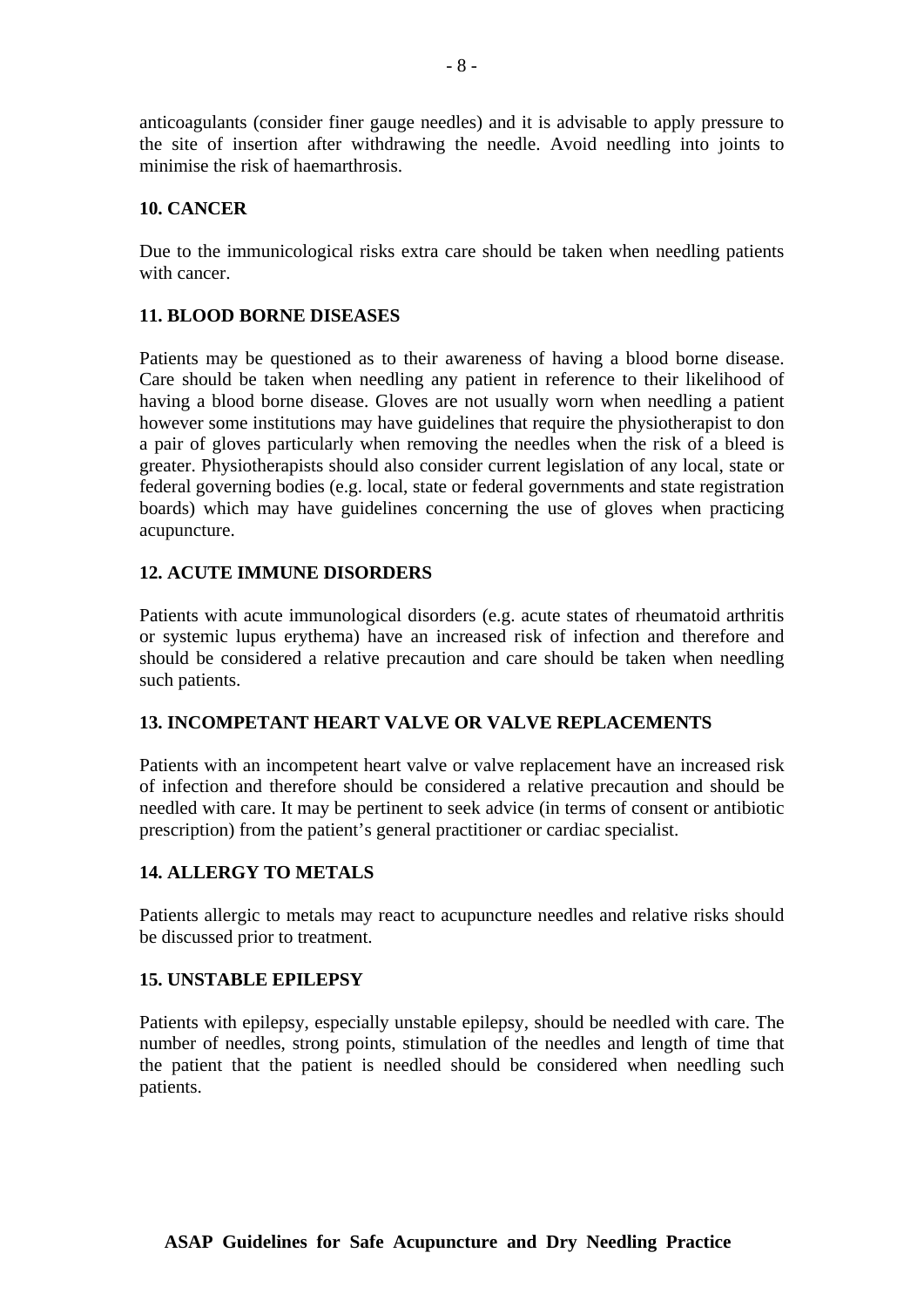anticoagulants (consider finer gauge needles) and it is advisable to apply pressure to the site of insertion after withdrawing the needle. Avoid needling into joints to minimise the risk of haemarthrosis.

#### **10. CANCER**

Due to the immunicological risks extra care should be taken when needling patients with cancer.

#### **11. BLOOD BORNE DISEASES**

Patients may be questioned as to their awareness of having a blood borne disease. Care should be taken when needling any patient in reference to their likelihood of having a blood borne disease. Gloves are not usually worn when needling a patient however some institutions may have guidelines that require the physiotherapist to don a pair of gloves particularly when removing the needles when the risk of a bleed is greater. Physiotherapists should also consider current legislation of any local, state or federal governing bodies (e.g. local, state or federal governments and state registration boards) which may have guidelines concerning the use of gloves when practicing acupuncture.

#### **12. ACUTE IMMUNE DISORDERS**

Patients with acute immunological disorders (e.g. acute states of rheumatoid arthritis or systemic lupus erythema) have an increased risk of infection and therefore and should be considered a relative precaution and care should be taken when needling such patients.

#### **13. INCOMPETANT HEART VALVE OR VALVE REPLACEMENTS**

Patients with an incompetent heart valve or valve replacement have an increased risk of infection and therefore should be considered a relative precaution and should be needled with care. It may be pertinent to seek advice (in terms of consent or antibiotic prescription) from the patient's general practitioner or cardiac specialist.

#### **14. ALLERGY TO METALS**

Patients allergic to metals may react to acupuncture needles and relative risks should be discussed prior to treatment.

#### **15. UNSTABLE EPILEPSY**

Patients with epilepsy, especially unstable epilepsy, should be needled with care. The number of needles, strong points, stimulation of the needles and length of time that the patient that the patient is needled should be considered when needling such patients.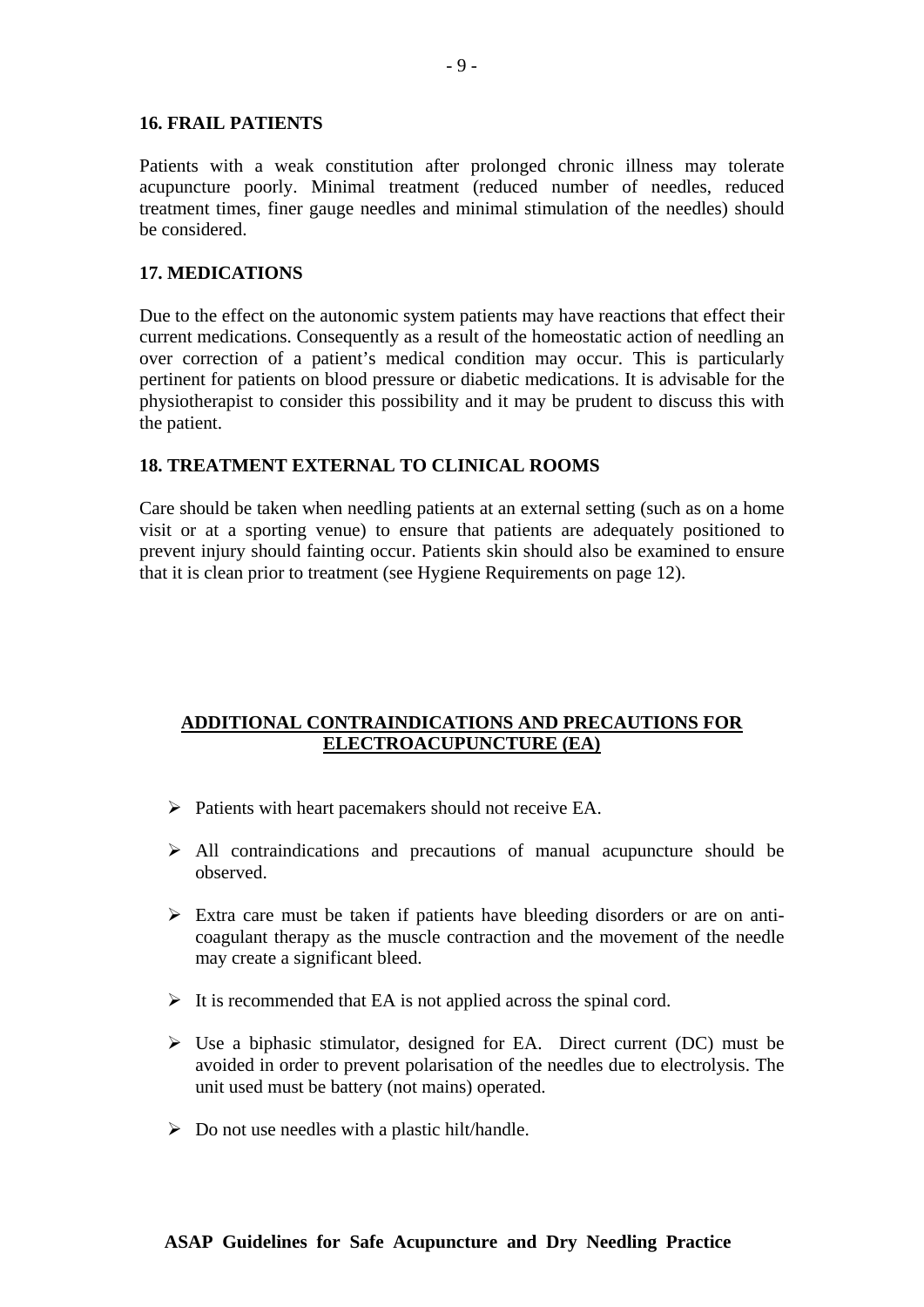#### **16. FRAIL PATIENTS**

Patients with a weak constitution after prolonged chronic illness may tolerate acupuncture poorly. Minimal treatment (reduced number of needles, reduced treatment times, finer gauge needles and minimal stimulation of the needles) should be considered.

#### **17. MEDICATIONS**

Due to the effect on the autonomic system patients may have reactions that effect their current medications. Consequently as a result of the homeostatic action of needling an over correction of a patient's medical condition may occur. This is particularly pertinent for patients on blood pressure or diabetic medications. It is advisable for the physiotherapist to consider this possibility and it may be prudent to discuss this with the patient.

#### **18. TREATMENT EXTERNAL TO CLINICAL ROOMS**

Care should be taken when needling patients at an external setting (such as on a home visit or at a sporting venue) to ensure that patients are adequately positioned to prevent injury should fainting occur. Patients skin should also be examined to ensure that it is clean prior to treatment (see Hygiene Requirements on page 12).

# **ADDITIONAL CONTRAINDICATIONS AND PRECAUTIONS FOR ELECTROACUPUNCTURE (EA)**

- $\triangleright$  Patients with heart pacemakers should not receive EA.
- $\triangleright$  All contraindications and precautions of manual acupuncture should be observed.
- $\triangleright$  Extra care must be taken if patients have bleeding disorders or are on anticoagulant therapy as the muscle contraction and the movement of the needle may create a significant bleed.
- $\triangleright$  It is recommended that EA is not applied across the spinal cord.
- $\triangleright$  Use a biphasic stimulator, designed for EA. Direct current (DC) must be avoided in order to prevent polarisation of the needles due to electrolysis. The unit used must be battery (not mains) operated.
- $\triangleright$  Do not use needles with a plastic hilt/handle.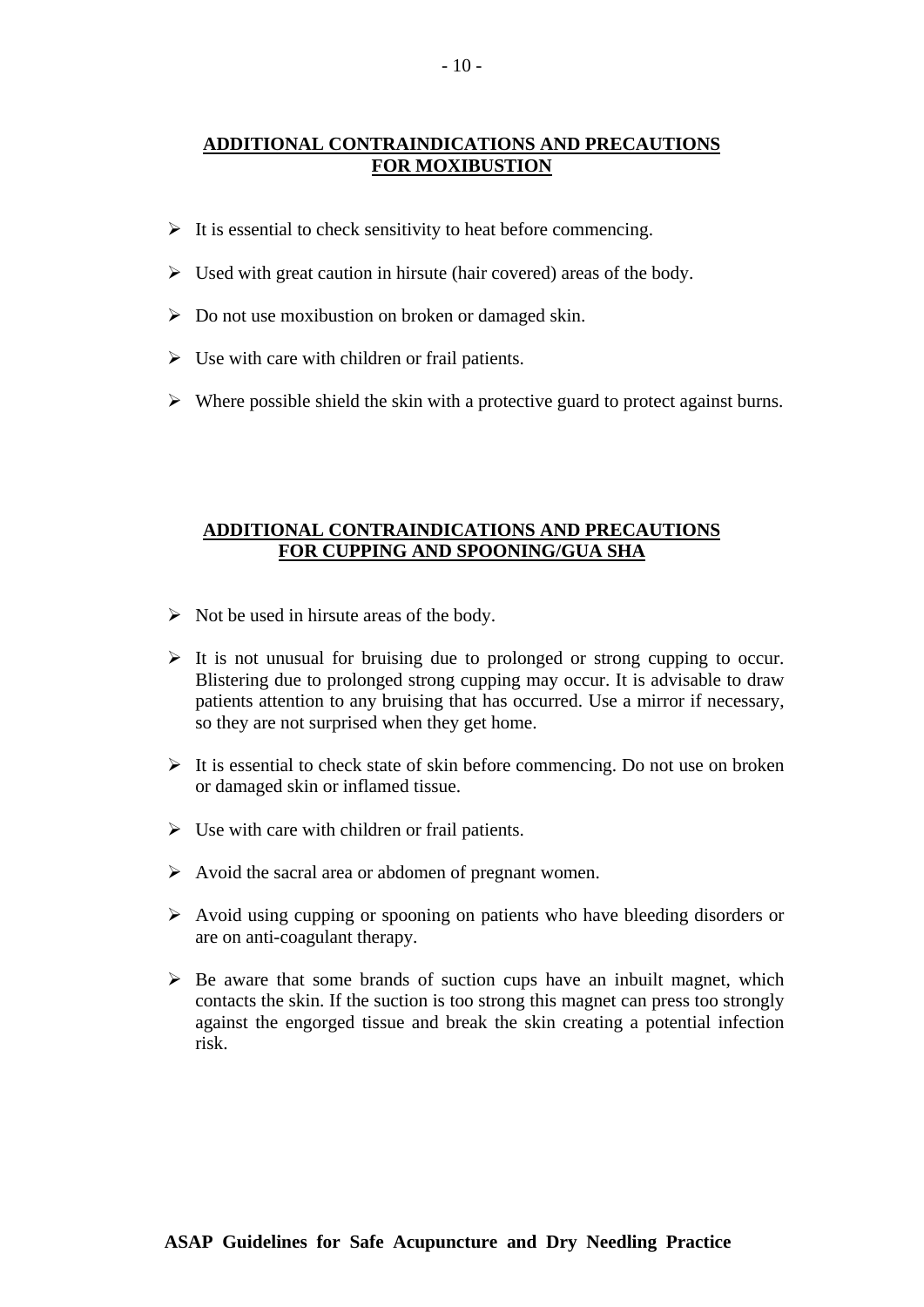#### **ADDITIONAL CONTRAINDICATIONS AND PRECAUTIONS FOR MOXIBUSTION**

- $\triangleright$  It is essential to check sensitivity to heat before commencing.
- $\triangleright$  Used with great caution in hirsute (hair covered) areas of the body.
- $\triangleright$  Do not use moxibustion on broken or damaged skin.
- $\triangleright$  Use with care with children or frail patients.
- $\triangleright$  Where possible shield the skin with a protective guard to protect against burns.

#### **ADDITIONAL CONTRAINDICATIONS AND PRECAUTIONS FOR CUPPING AND SPOONING/GUA SHA**

- $\triangleright$  Not be used in hirsute areas of the body.
- $\triangleright$  It is not unusual for bruising due to prolonged or strong cupping to occur. Blistering due to prolonged strong cupping may occur. It is advisable to draw patients attention to any bruising that has occurred. Use a mirror if necessary, so they are not surprised when they get home.
- $\triangleright$  It is essential to check state of skin before commencing. Do not use on broken or damaged skin or inflamed tissue.
- $\triangleright$  Use with care with children or frail patients.
- $\triangleright$  Avoid the sacral area or abdomen of pregnant women.
- $\triangleright$  Avoid using cupping or spooning on patients who have bleeding disorders or are on anti-coagulant therapy.
- $\triangleright$  Be aware that some brands of suction cups have an inbuilt magnet, which contacts the skin. If the suction is too strong this magnet can press too strongly against the engorged tissue and break the skin creating a potential infection risk.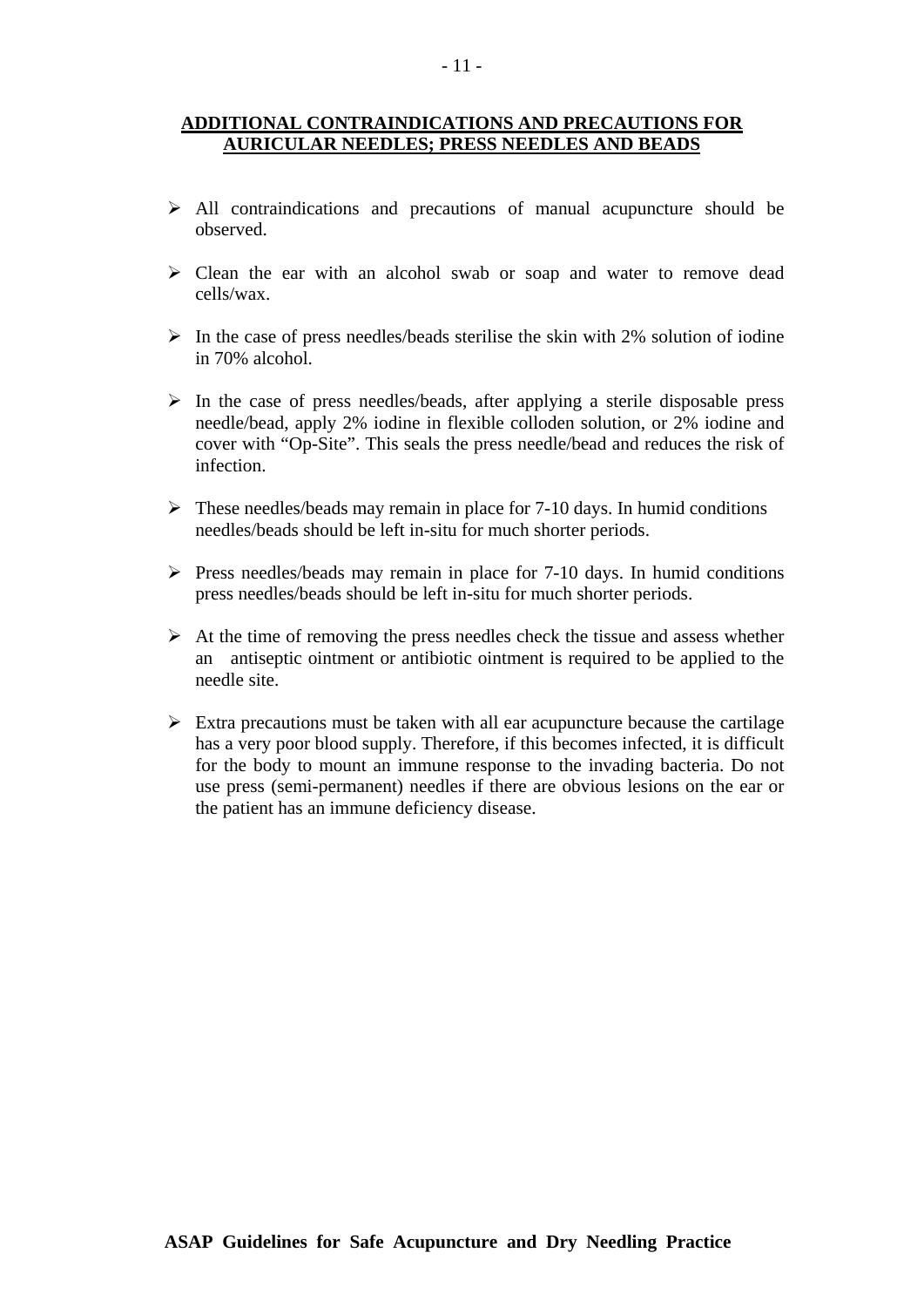#### **ADDITIONAL CONTRAINDICATIONS AND PRECAUTIONS FOR AURICULAR NEEDLES; PRESS NEEDLES AND BEADS**

- $\triangleright$  All contraindications and precautions of manual acupuncture should be observed.
- $\triangleright$  Clean the ear with an alcohol swab or soap and water to remove dead cells/wax.
- $\triangleright$  In the case of press needles/beads sterilise the skin with 2% solution of iodine in 70% alcohol.
- $\triangleright$  In the case of press needles/beads, after applying a sterile disposable press needle/bead, apply 2% iodine in flexible colloden solution, or 2% iodine and cover with "Op-Site". This seals the press needle/bead and reduces the risk of infection.
- $\triangleright$  These needles/beads may remain in place for 7-10 days. In humid conditions needles/beads should be left in-situ for much shorter periods.
- $\triangleright$  Press needles/beads may remain in place for 7-10 days. In humid conditions press needles/beads should be left in-situ for much shorter periods.
- $\triangleright$  At the time of removing the press needles check the tissue and assess whether an antiseptic ointment or antibiotic ointment is required to be applied to the needle site.
- $\triangleright$  Extra precautions must be taken with all ear acupuncture because the cartilage has a very poor blood supply. Therefore, if this becomes infected, it is difficult for the body to mount an immune response to the invading bacteria. Do not use press (semi-permanent) needles if there are obvious lesions on the ear or the patient has an immune deficiency disease.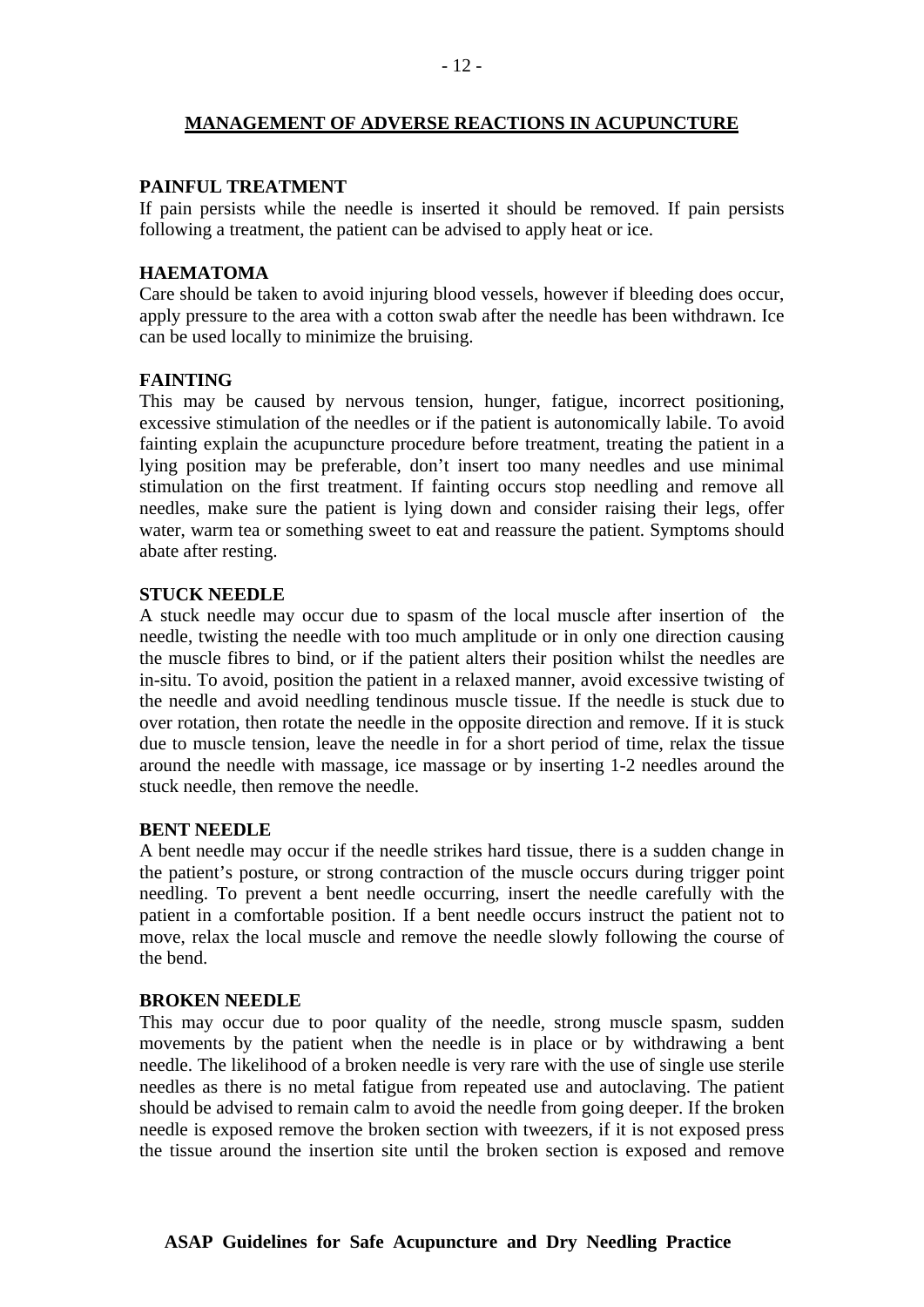#### **MANAGEMENT OF ADVERSE REACTIONS IN ACUPUNCTURE**

#### **PAINFUL TREATMENT**

If pain persists while the needle is inserted it should be removed. If pain persists following a treatment, the patient can be advised to apply heat or ice.

#### **HAEMATOMA**

Care should be taken to avoid injuring blood vessels, however if bleeding does occur, apply pressure to the area with a cotton swab after the needle has been withdrawn. Ice can be used locally to minimize the bruising.

#### **FAINTING**

This may be caused by nervous tension, hunger, fatigue, incorrect positioning, excessive stimulation of the needles or if the patient is autonomically labile. To avoid fainting explain the acupuncture procedure before treatment, treating the patient in a lying position may be preferable, don't insert too many needles and use minimal stimulation on the first treatment. If fainting occurs stop needling and remove all needles, make sure the patient is lying down and consider raising their legs, offer water, warm tea or something sweet to eat and reassure the patient. Symptoms should abate after resting.

#### **STUCK NEEDLE**

A stuck needle may occur due to spasm of the local muscle after insertion of the needle, twisting the needle with too much amplitude or in only one direction causing the muscle fibres to bind, or if the patient alters their position whilst the needles are in-situ. To avoid, position the patient in a relaxed manner, avoid excessive twisting of the needle and avoid needling tendinous muscle tissue. If the needle is stuck due to over rotation, then rotate the needle in the opposite direction and remove. If it is stuck due to muscle tension, leave the needle in for a short period of time, relax the tissue around the needle with massage, ice massage or by inserting 1-2 needles around the stuck needle, then remove the needle.

#### **BENT NEEDLE**

A bent needle may occur if the needle strikes hard tissue, there is a sudden change in the patient's posture, or strong contraction of the muscle occurs during trigger point needling. To prevent a bent needle occurring, insert the needle carefully with the patient in a comfortable position. If a bent needle occurs instruct the patient not to move, relax the local muscle and remove the needle slowly following the course of the bend.

#### **BROKEN NEEDLE**

This may occur due to poor quality of the needle, strong muscle spasm, sudden movements by the patient when the needle is in place or by withdrawing a bent needle. The likelihood of a broken needle is very rare with the use of single use sterile needles as there is no metal fatigue from repeated use and autoclaving. The patient should be advised to remain calm to avoid the needle from going deeper. If the broken needle is exposed remove the broken section with tweezers, if it is not exposed press the tissue around the insertion site until the broken section is exposed and remove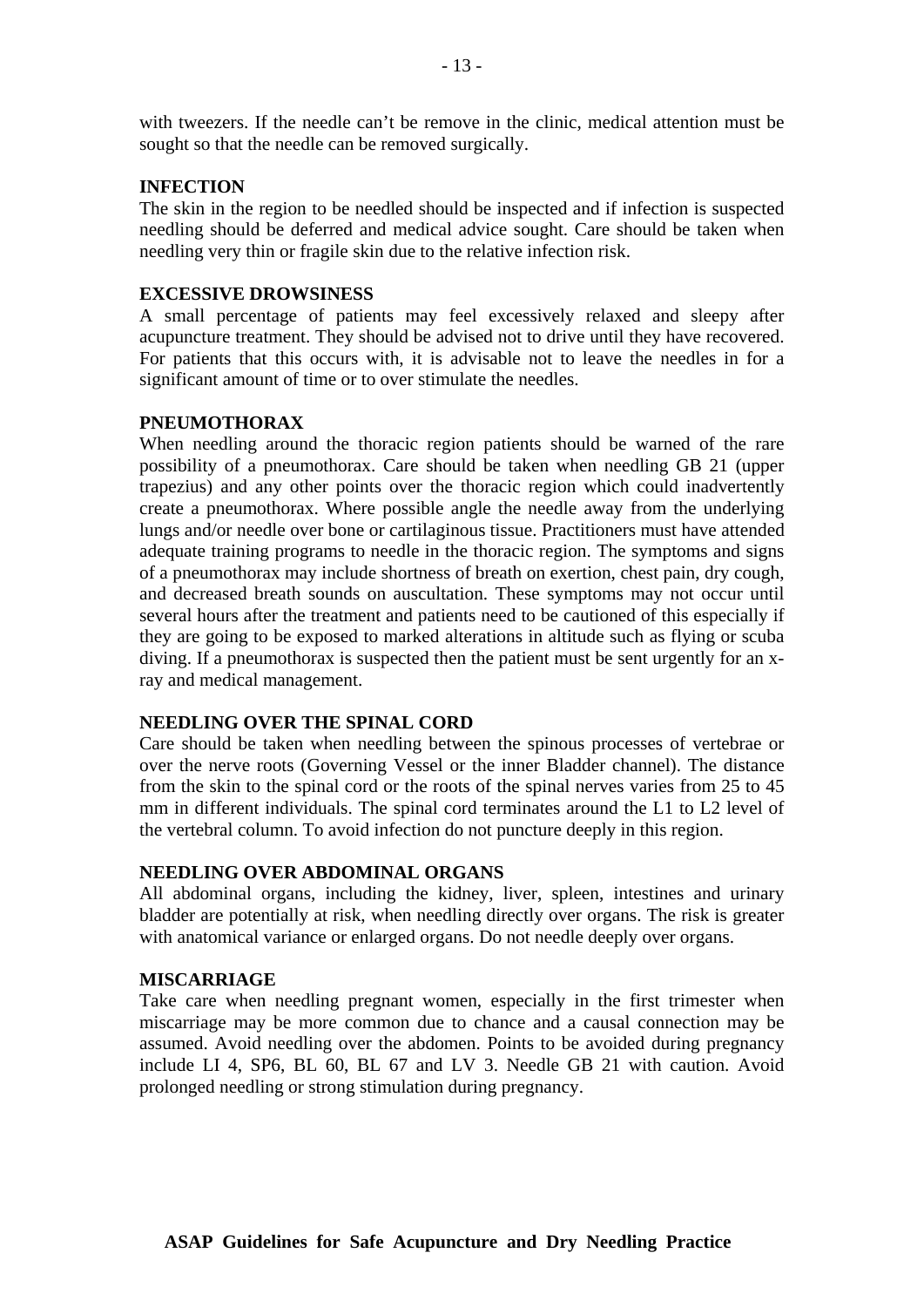with tweezers. If the needle can't be remove in the clinic, medical attention must be sought so that the needle can be removed surgically.

#### **INFECTION**

The skin in the region to be needled should be inspected and if infection is suspected needling should be deferred and medical advice sought. Care should be taken when needling very thin or fragile skin due to the relative infection risk.

#### **EXCESSIVE DROWSINESS**

A small percentage of patients may feel excessively relaxed and sleepy after acupuncture treatment. They should be advised not to drive until they have recovered. For patients that this occurs with, it is advisable not to leave the needles in for a significant amount of time or to over stimulate the needles.

#### **PNEUMOTHORAX**

When needling around the thoracic region patients should be warned of the rare possibility of a pneumothorax. Care should be taken when needling GB 21 (upper trapezius) and any other points over the thoracic region which could inadvertently create a pneumothorax. Where possible angle the needle away from the underlying lungs and/or needle over bone or cartilaginous tissue. Practitioners must have attended adequate training programs to needle in the thoracic region. The symptoms and signs of a pneumothorax may include shortness of breath on exertion, chest pain, dry cough, and decreased breath sounds on auscultation. These symptoms may not occur until several hours after the treatment and patients need to be cautioned of this especially if they are going to be exposed to marked alterations in altitude such as flying or scuba diving. If a pneumothorax is suspected then the patient must be sent urgently for an xray and medical management.

#### **NEEDLING OVER THE SPINAL CORD**

Care should be taken when needling between the spinous processes of vertebrae or over the nerve roots (Governing Vessel or the inner Bladder channel). The distance from the skin to the spinal cord or the roots of the spinal nerves varies from 25 to 45 mm in different individuals. The spinal cord terminates around the L1 to L2 level of the vertebral column. To avoid infection do not puncture deeply in this region.

#### **NEEDLING OVER ABDOMINAL ORGANS**

All abdominal organs, including the kidney, liver, spleen, intestines and urinary bladder are potentially at risk, when needling directly over organs. The risk is greater with anatomical variance or enlarged organs. Do not needle deeply over organs.

#### **MISCARRIAGE**

Take care when needling pregnant women, especially in the first trimester when miscarriage may be more common due to chance and a causal connection may be assumed. Avoid needling over the abdomen. Points to be avoided during pregnancy include LI 4, SP6, BL 60, BL 67 and LV 3. Needle GB 21 with caution. Avoid prolonged needling or strong stimulation during pregnancy.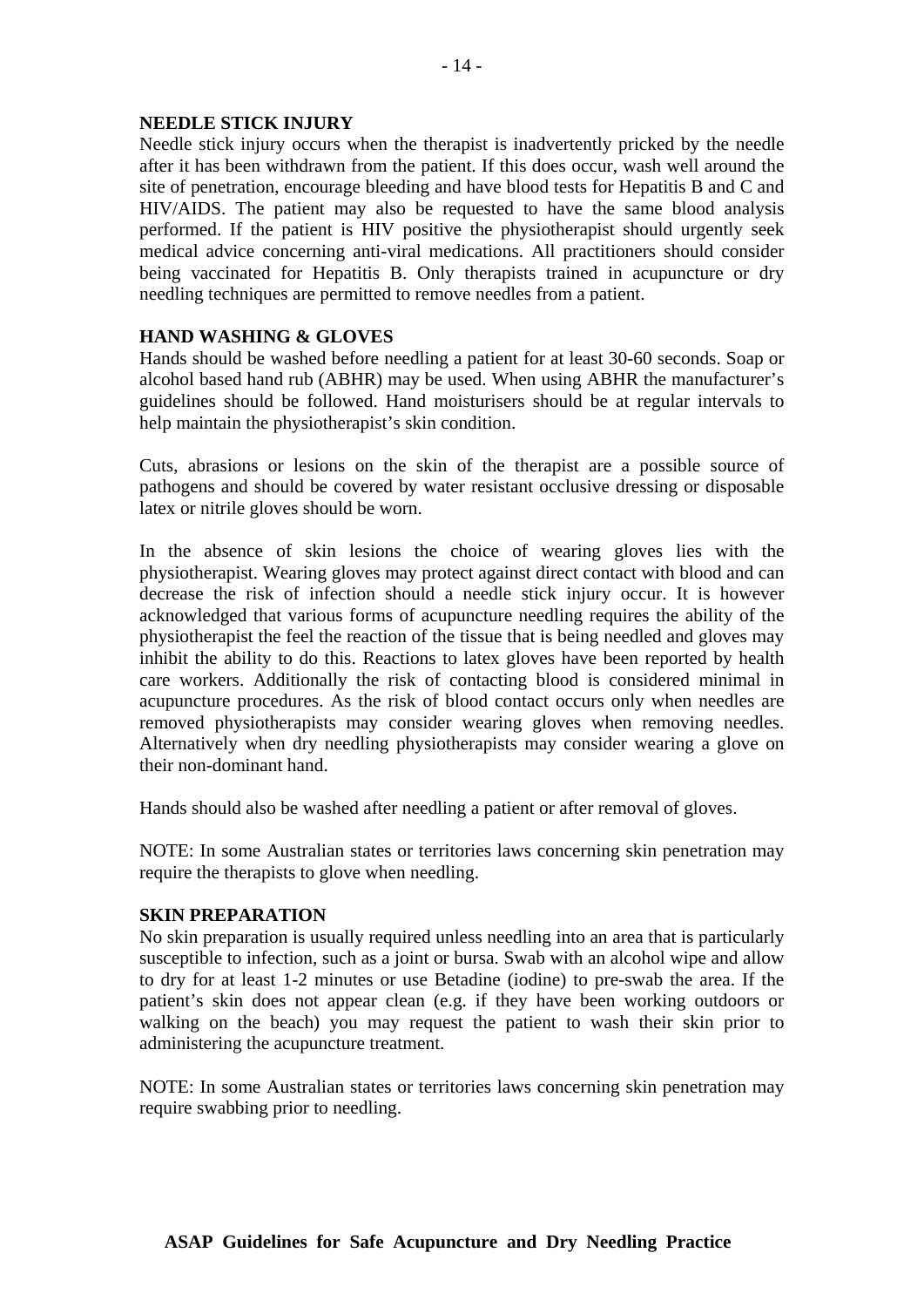#### **NEEDLE STICK INJURY**

Needle stick injury occurs when the therapist is inadvertently pricked by the needle after it has been withdrawn from the patient. If this does occur, wash well around the site of penetration, encourage bleeding and have blood tests for Hepatitis B and C and HIV/AIDS. The patient may also be requested to have the same blood analysis performed. If the patient is HIV positive the physiotherapist should urgently seek medical advice concerning anti-viral medications. All practitioners should consider being vaccinated for Hepatitis B. Only therapists trained in acupuncture or dry needling techniques are permitted to remove needles from a patient.

#### **HAND WASHING & GLOVES**

Hands should be washed before needling a patient for at least 30-60 seconds. Soap or alcohol based hand rub (ABHR) may be used. When using ABHR the manufacturer's guidelines should be followed. Hand moisturisers should be at regular intervals to help maintain the physiotherapist's skin condition.

Cuts, abrasions or lesions on the skin of the therapist are a possible source of pathogens and should be covered by water resistant occlusive dressing or disposable latex or nitrile gloves should be worn.

In the absence of skin lesions the choice of wearing gloves lies with the physiotherapist. Wearing gloves may protect against direct contact with blood and can decrease the risk of infection should a needle stick injury occur. It is however acknowledged that various forms of acupuncture needling requires the ability of the physiotherapist the feel the reaction of the tissue that is being needled and gloves may inhibit the ability to do this. Reactions to latex gloves have been reported by health care workers. Additionally the risk of contacting blood is considered minimal in acupuncture procedures. As the risk of blood contact occurs only when needles are removed physiotherapists may consider wearing gloves when removing needles. Alternatively when dry needling physiotherapists may consider wearing a glove on their non-dominant hand.

Hands should also be washed after needling a patient or after removal of gloves.

NOTE: In some Australian states or territories laws concerning skin penetration may require the therapists to glove when needling.

#### **SKIN PREPARATION**

No skin preparation is usually required unless needling into an area that is particularly susceptible to infection, such as a joint or bursa. Swab with an alcohol wipe and allow to dry for at least 1-2 minutes or use Betadine (iodine) to pre-swab the area. If the patient's skin does not appear clean (e.g. if they have been working outdoors or walking on the beach) you may request the patient to wash their skin prior to administering the acupuncture treatment.

NOTE: In some Australian states or territories laws concerning skin penetration may require swabbing prior to needling.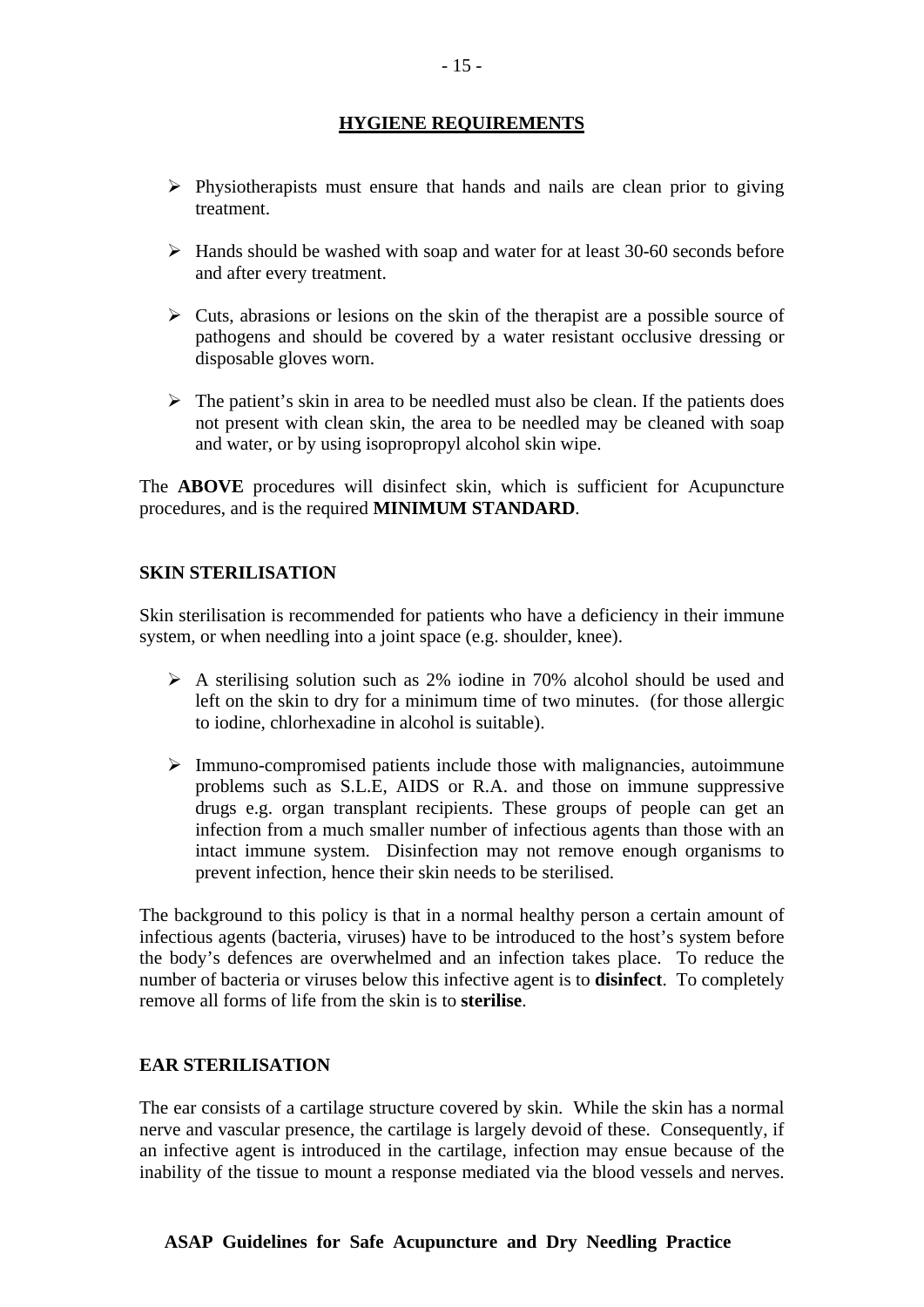# **HYGIENE REQUIREMENTS**

- $\triangleright$  Physiotherapists must ensure that hands and nails are clean prior to giving treatment.
- $\triangleright$  Hands should be washed with soap and water for at least 30-60 seconds before and after every treatment.
- $\triangleright$  Cuts, abrasions or lesions on the skin of the therapist are a possible source of pathogens and should be covered by a water resistant occlusive dressing or disposable gloves worn.
- $\triangleright$  The patient's skin in area to be needled must also be clean. If the patients does not present with clean skin, the area to be needled may be cleaned with soap and water, or by using isopropropyl alcohol skin wipe.

The **ABOVE** procedures will disinfect skin, which is sufficient for Acupuncture procedures, and is the required **MINIMUM STANDARD**.

#### **SKIN STERILISATION**

Skin sterilisation is recommended for patients who have a deficiency in their immune system, or when needling into a joint space (e.g. shoulder, knee).

- $\triangleright$  A sterilising solution such as 2% iodine in 70% alcohol should be used and left on the skin to dry for a minimum time of two minutes. (for those allergic to iodine, chlorhexadine in alcohol is suitable).
- $\triangleright$  Immuno-compromised patients include those with malignancies, autoimmune problems such as S.L.E, AIDS or R.A. and those on immune suppressive drugs e.g. organ transplant recipients. These groups of people can get an infection from a much smaller number of infectious agents than those with an intact immune system. Disinfection may not remove enough organisms to prevent infection, hence their skin needs to be sterilised.

The background to this policy is that in a normal healthy person a certain amount of infectious agents (bacteria, viruses) have to be introduced to the host's system before the body's defences are overwhelmed and an infection takes place. To reduce the number of bacteria or viruses below this infective agent is to **disinfect**. To completely remove all forms of life from the skin is to **sterilise**.

#### **EAR STERILISATION**

The ear consists of a cartilage structure covered by skin. While the skin has a normal nerve and vascular presence, the cartilage is largely devoid of these. Consequently, if an infective agent is introduced in the cartilage, infection may ensue because of the inability of the tissue to mount a response mediated via the blood vessels and nerves.

#### **ASAP Guidelines for Safe Acupuncture and Dry Needling Practice**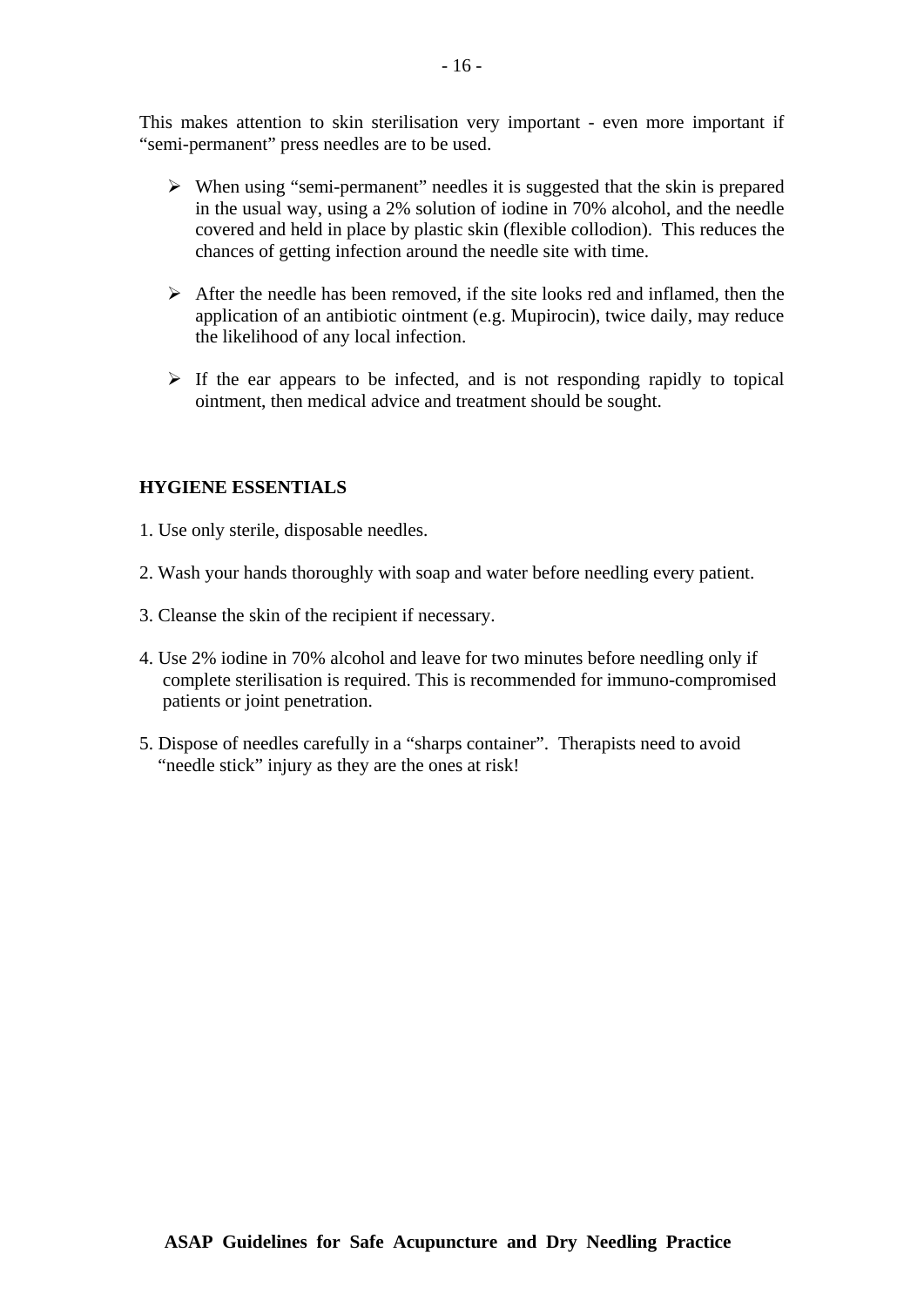This makes attention to skin sterilisation very important - even more important if "semi-permanent" press needles are to be used.

- $\triangleright$  When using "semi-permanent" needles it is suggested that the skin is prepared in the usual way, using a 2% solution of iodine in 70% alcohol, and the needle covered and held in place by plastic skin (flexible collodion). This reduces the chances of getting infection around the needle site with time.
- $\triangleright$  After the needle has been removed, if the site looks red and inflamed, then the application of an antibiotic ointment (e.g. Mupirocin), twice daily, may reduce the likelihood of any local infection.
- $\triangleright$  If the ear appears to be infected, and is not responding rapidly to topical ointment, then medical advice and treatment should be sought.

#### **HYGIENE ESSENTIALS**

- 1. Use only sterile, disposable needles.
- 2. Wash your hands thoroughly with soap and water before needling every patient.
- 3. Cleanse the skin of the recipient if necessary.
- 4. Use 2% iodine in 70% alcohol and leave for two minutes before needling only if complete sterilisation is required. This is recommended for immuno-compromised patients or joint penetration.
- 5. Dispose of needles carefully in a "sharps container". Therapists need to avoid "needle stick" injury as they are the ones at risk!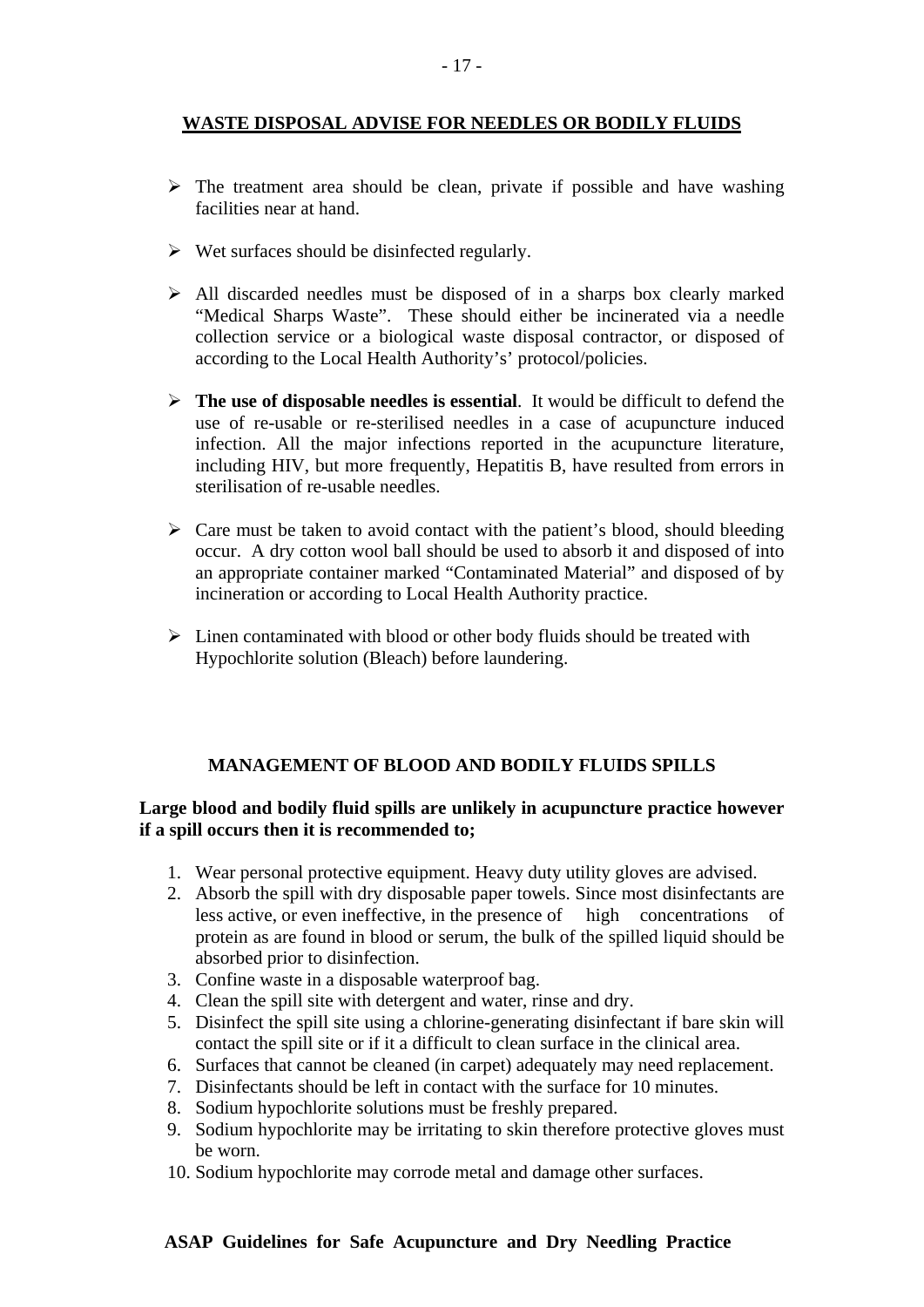# **WASTE DISPOSAL ADVISE FOR NEEDLES OR BODILY FLUIDS**

- $\triangleright$  The treatment area should be clean, private if possible and have washing facilities near at hand.
- $\triangleright$  Wet surfaces should be disinfected regularly.
- $\triangleright$  All discarded needles must be disposed of in a sharps box clearly marked "Medical Sharps Waste". These should either be incinerated via a needle collection service or a biological waste disposal contractor, or disposed of according to the Local Health Authority's' protocol/policies.
- ¾ **The use of disposable needles is essential**. It would be difficult to defend the use of re-usable or re-sterilised needles in a case of acupuncture induced infection. All the major infections reported in the acupuncture literature, including HIV, but more frequently, Hepatitis B, have resulted from errors in sterilisation of re-usable needles.
- $\triangleright$  Care must be taken to avoid contact with the patient's blood, should bleeding occur. A dry cotton wool ball should be used to absorb it and disposed of into an appropriate container marked "Contaminated Material" and disposed of by incineration or according to Local Health Authority practice.
- $\triangleright$  Linen contaminated with blood or other body fluids should be treated with Hypochlorite solution (Bleach) before laundering.

# **MANAGEMENT OF BLOOD AND BODILY FLUIDS SPILLS**

#### **Large blood and bodily fluid spills are unlikely in acupuncture practice however if a spill occurs then it is recommended to;**

- 1. Wear personal protective equipment. Heavy duty utility gloves are advised.
- 2. Absorb the spill with dry disposable paper towels. Since most disinfectants are less active, or even ineffective, in the presence of high concentrations of protein as are found in blood or serum, the bulk of the spilled liquid should be absorbed prior to disinfection.
- 3. Confine waste in a disposable waterproof bag.
- 4. Clean the spill site with detergent and water, rinse and dry.
- 5. Disinfect the spill site using a chlorine-generating disinfectant if bare skin will contact the spill site or if it a difficult to clean surface in the clinical area.
- 6. Surfaces that cannot be cleaned (in carpet) adequately may need replacement.
- 7. Disinfectants should be left in contact with the surface for 10 minutes.
- 8. Sodium hypochlorite solutions must be freshly prepared.
- 9. Sodium hypochlorite may be irritating to skin therefore protective gloves must be worn.
- 10. Sodium hypochlorite may corrode metal and damage other surfaces.

#### **ASAP Guidelines for Safe Acupuncture and Dry Needling Practice**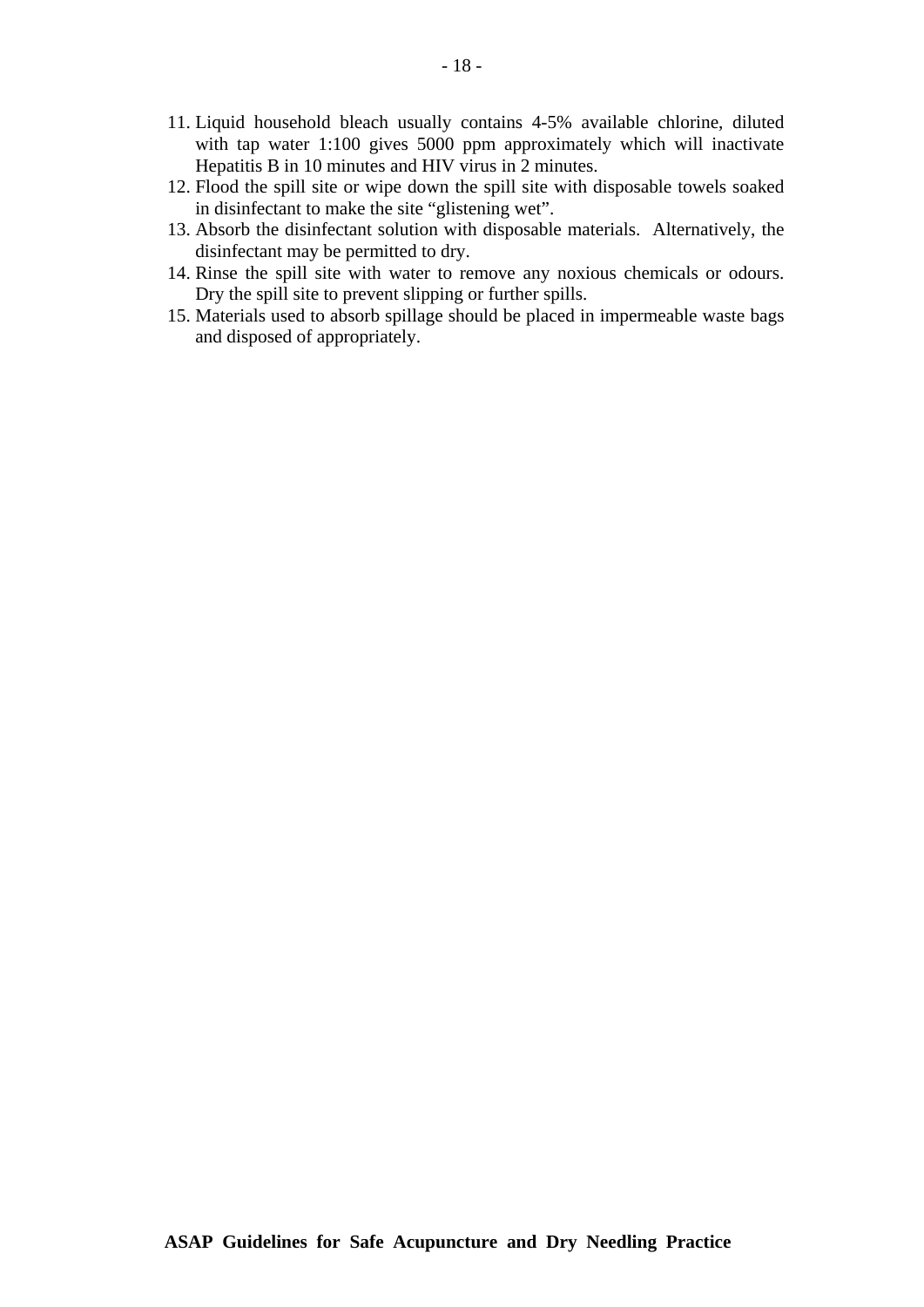- 11. Liquid household bleach usually contains 4-5% available chlorine, diluted with tap water 1:100 gives 5000 ppm approximately which will inactivate Hepatitis B in 10 minutes and HIV virus in 2 minutes.
- 12. Flood the spill site or wipe down the spill site with disposable towels soaked in disinfectant to make the site "glistening wet".
- 13. Absorb the disinfectant solution with disposable materials. Alternatively, the disinfectant may be permitted to dry.
- 14. Rinse the spill site with water to remove any noxious chemicals or odours. Dry the spill site to prevent slipping or further spills.
- 15. Materials used to absorb spillage should be placed in impermeable waste bags and disposed of appropriately.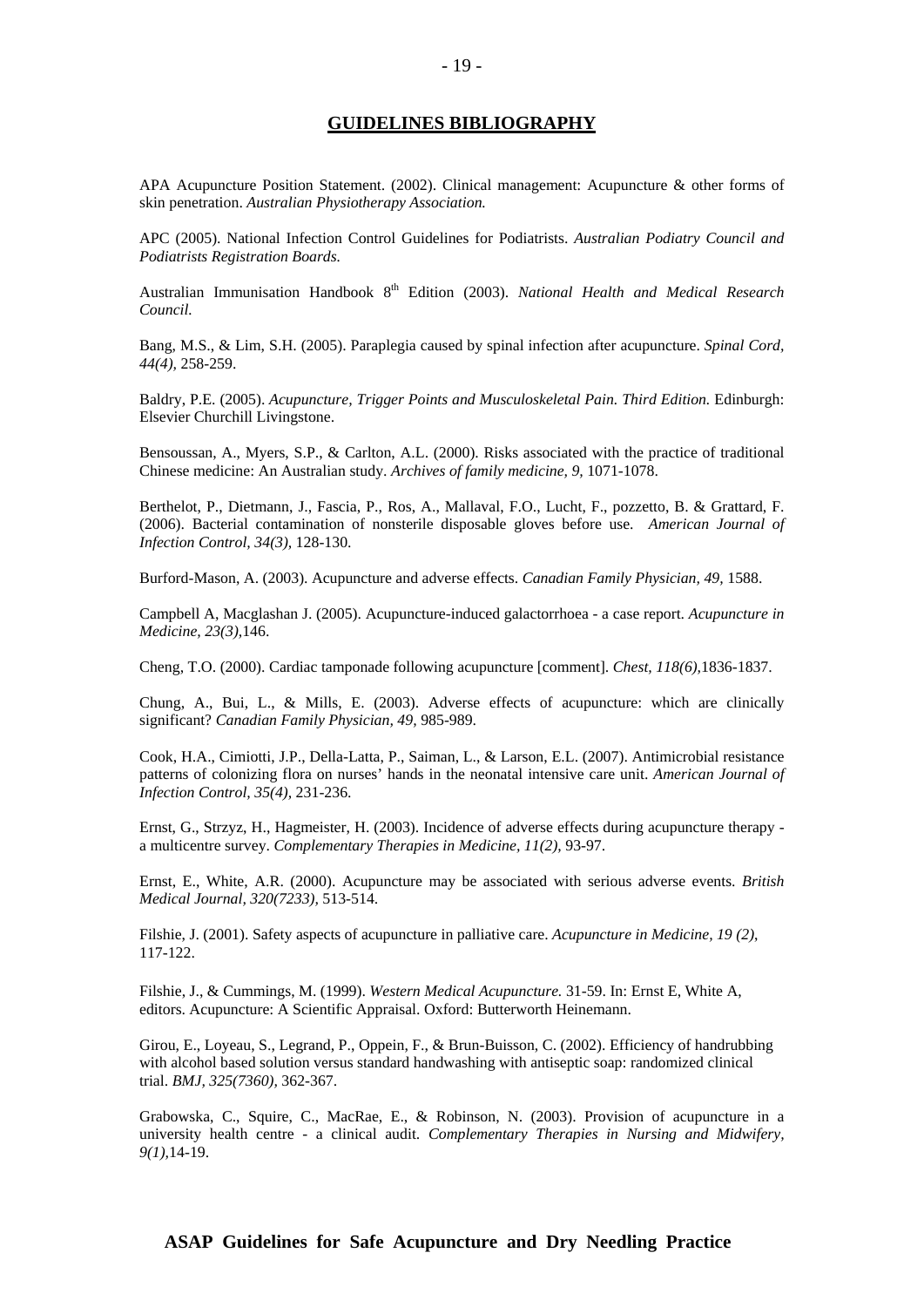#### **GUIDELINES BIBLIOGRAPHY**

APA Acupuncture Position Statement. (2002). Clinical management: Acupuncture & other forms of skin penetration. *Australian Physiotherapy Association.* 

APC (2005). National Infection Control Guidelines for Podiatrists. *Australian Podiatry Council and Podiatrists Registration Boards.* 

Australian Immunisation Handbook 8th Edition (2003). *National Health and Medical Research Council.*

Bang, M.S., & Lim, S.H. (2005). Paraplegia caused by spinal infection after acupuncture. *Spinal Cord, 44(4),* 258-259.

Baldry, P.E. (2005). *Acupuncture, Trigger Points and Musculoskeletal Pain. Third Edition.* Edinburgh: Elsevier Churchill Livingstone.

Bensoussan, A., Myers, S.P., & Carlton, A.L. (2000). Risks associated with the practice of traditional Chinese medicine: An Australian study. *Archives of family medicine, 9,* 1071-1078.

Berthelot, P., Dietmann, J., Fascia, P., Ros, A., Mallaval, F.O., Lucht, F., pozzetto, B. & Grattard, F. (2006). Bacterial contamination of nonsterile disposable gloves before use. *American Journal of Infection Control, 34(3),* 128-130.

Burford-Mason, A. (2003). Acupuncture and adverse effects. *Canadian Family Physician, 49,* 1588.

Campbell A, Macglashan J. (2005). Acupuncture-induced galactorrhoea - a case report. *Acupuncture in Medicine, 23(3),*146.

Cheng, T.O. (2000). Cardiac tamponade following acupuncture [comment]. *Chest, 118(6),*1836-1837.

Chung, A., Bui, L., & Mills, E. (2003). Adverse effects of acupuncture: which are clinically significant? *Canadian Family Physician, 49,* 985-989.

Cook, H.A., Cimiotti, J.P., Della-Latta, P., Saiman, L., & Larson, E.L. (2007). Antimicrobial resistance patterns of colonizing flora on nurses' hands in the neonatal intensive care unit. *American Journal of Infection Control, 35(4),* 231-236.

Ernst, G., Strzyz, H., Hagmeister, H. (2003). Incidence of adverse effects during acupuncture therapy a multicentre survey. *Complementary Therapies in Medicine, 11(2),* 93-97.

Ernst, E., White, A.R. (2000). Acupuncture may be associated with serious adverse events. *British Medical Journal, 320(7233),* 513-514.

Filshie, J. (2001). Safety aspects of acupuncture in palliative care. *Acupuncture in Medicine, 19 (2)*, 117-122.

Filshie, J., & Cummings, M. (1999). *Western Medical Acupuncture.* 31-59. In: Ernst E, White A, editors. Acupuncture: A Scientific Appraisal. Oxford: Butterworth Heinemann.

Girou, E., Loyeau, S., Legrand, P., Oppein, F., & Brun-Buisson, C. (2002). Efficiency of handrubbing with alcohol based solution versus standard handwashing with antiseptic soap: randomized clinical trial. *BMJ, 325(7360),* 362-367.

Grabowska, C., Squire, C., MacRae, E., & Robinson, N. (2003). Provision of acupuncture in a university health centre - a clinical audit. *Complementary Therapies in Nursing and Midwifery, 9(1),*14-19.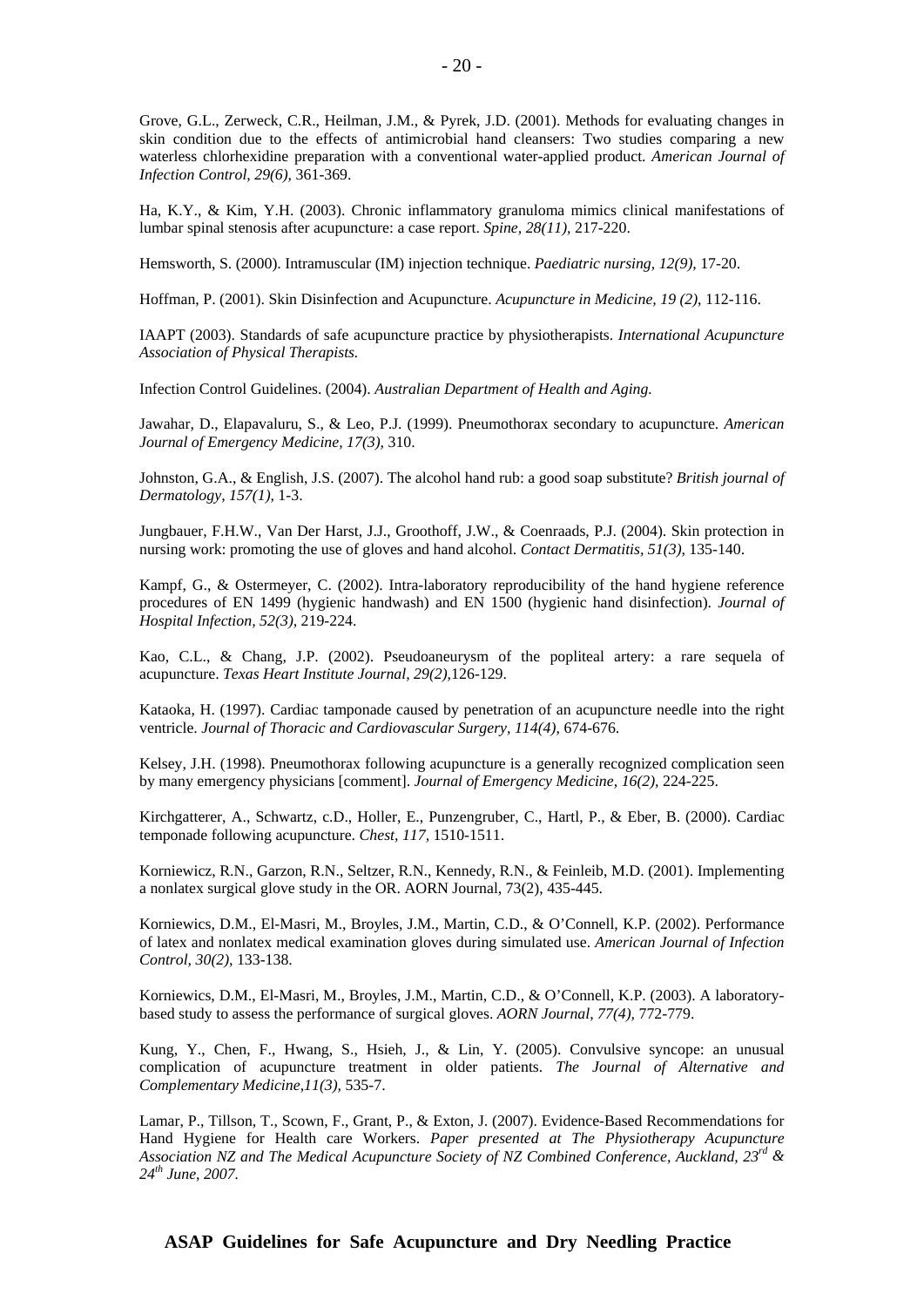Grove, G.L., Zerweck, C.R., Heilman, J.M., & Pyrek, J.D. (2001). Methods for evaluating changes in skin condition due to the effects of antimicrobial hand cleansers: Two studies comparing a new waterless chlorhexidine preparation with a conventional water-applied product. *American Journal of Infection Control, 29(6),* 361-369.

Ha, K.Y., & Kim, Y.H. (2003). Chronic inflammatory granuloma mimics clinical manifestations of lumbar spinal stenosis after acupuncture: a case report. *Spine, 28(11),* 217-220.

Hemsworth, S. (2000). Intramuscular (IM) injection technique. *Paediatric nursing, 12(9),* 17-20.

Hoffman, P. (2001). Skin Disinfection and Acupuncture. *Acupuncture in Medicine, 19 (2)*, 112-116.

IAAPT (2003). Standards of safe acupuncture practice by physiotherapists. *International Acupuncture Association of Physical Therapists.* 

Infection Control Guidelines. (2004). *Australian Department of Health and Aging.* 

Jawahar, D., Elapavaluru, S., & Leo, P.J. (1999). Pneumothorax secondary to acupuncture. *American Journal of Emergency Medicine, 17(3),* 310.

Johnston, G.A., & English, J.S. (2007). The alcohol hand rub: a good soap substitute? *British journal of Dermatology, 157(1),* 1-3.

Jungbauer, F.H.W., Van Der Harst, J.J., Groothoff, J.W., & Coenraads, P.J. (2004). Skin protection in nursing work: promoting the use of gloves and hand alcohol. *Contact Dermatitis, 51(3),* 135-140.

Kampf, G., & Ostermeyer, C. (2002). Intra-laboratory reproducibility of the hand hygiene reference procedures of EN 1499 (hygienic handwash) and EN 1500 (hygienic hand disinfection). *Journal of Hospital Infection, 52(3),* 219-224.

Kao, C.L., & Chang, J.P. (2002). Pseudoaneurysm of the popliteal artery: a rare sequela of acupuncture. *Texas Heart Institute Journal, 29(2),*126-129.

Kataoka, H. (1997). Cardiac tamponade caused by penetration of an acupuncture needle into the right ventricle. *Journal of Thoracic and Cardiovascular Surgery, 114(4)*, 674-676.

Kelsey, J.H. (1998). Pneumothorax following acupuncture is a generally recognized complication seen by many emergency physicians [comment]. *Journal of Emergency Medicine, 16(2),* 224-225.

Kirchgatterer, A., Schwartz, c.D., Holler, E., Punzengruber, C., Hartl, P., & Eber, B. (2000). Cardiac temponade following acupuncture. *Chest, 117,* 1510-1511.

Korniewicz, R.N., Garzon, R.N., Seltzer, R.N., Kennedy, R.N., & Feinleib, M.D. (2001). Implementing a nonlatex surgical glove study in the OR. AORN Journal, 73(2), 435-445.

Korniewics, D.M., El-Masri, M., Broyles, J.M., Martin, C.D., & O'Connell, K.P. (2002). Performance of latex and nonlatex medical examination gloves during simulated use. *American Journal of Infection Control, 30(2),* 133-138.

Korniewics, D.M., El-Masri, M., Broyles, J.M., Martin, C.D., & O'Connell, K.P. (2003). A laboratorybased study to assess the performance of surgical gloves. *AORN Journal, 77(4),* 772-779.

Kung, Y., Chen, F., Hwang, S., Hsieh, J., & Lin, Y. (2005). Convulsive syncope: an unusual complication of acupuncture treatment in older patients. *The Journal of Alternative and Complementary Medicine,11(3),* 535-7.

Lamar, P., Tillson, T., Scown, F., Grant, P., & Exton, J. (2007). Evidence-Based Recommendations for Hand Hygiene for Health care Workers. *Paper presented at The Physiotherapy Acupuncture Association NZ and The Medical Acupuncture Society of NZ Combined Conference, Auckland, 23rd & 24th June, 2007.*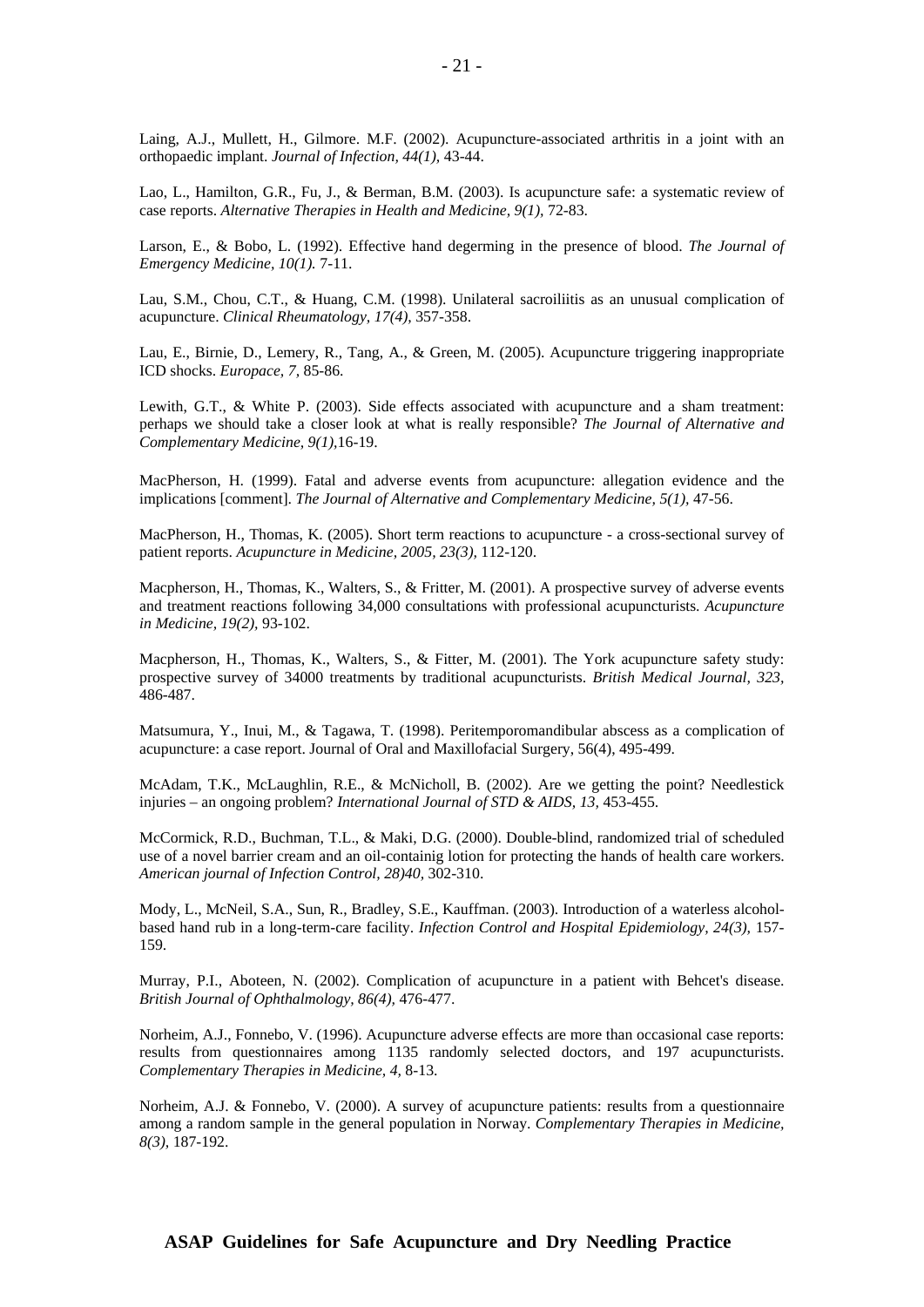Laing, A.J., Mullett, H., Gilmore. M.F. (2002). Acupuncture-associated arthritis in a joint with an orthopaedic implant. *Journal of Infection, 44(1),* 43-44.

Lao, L., Hamilton, G.R., Fu, J., & Berman, B.M. (2003). Is acupuncture safe: a systematic review of case reports. *Alternative Therapies in Health and Medicine, 9(1),* 72-83.

Larson, E., & Bobo, L. (1992). Effective hand degerming in the presence of blood. *The Journal of Emergency Medicine, 10(1).* 7-11.

Lau, S.M., Chou, C.T., & Huang, C.M. (1998). Unilateral sacroiliitis as an unusual complication of acupuncture. *Clinical Rheumatology, 17(4),* 357-358.

Lau, E., Birnie, D., Lemery, R., Tang, A., & Green, M. (2005). Acupuncture triggering inappropriate ICD shocks. *Europace, 7,* 85-86.

Lewith, G.T., & White P. (2003). Side effects associated with acupuncture and a sham treatment: perhaps we should take a closer look at what is really responsible? *The Journal of Alternative and Complementary Medicine, 9(1),*16-19.

MacPherson, H. (1999). Fatal and adverse events from acupuncture: allegation evidence and the implications [comment]. *The Journal of Alternative and Complementary Medicine, 5(1),* 47-56.

MacPherson, H., Thomas, K. (2005). Short term reactions to acupuncture - a cross-sectional survey of patient reports. *Acupuncture in Medicine, 2005, 23(3),* 112-120.

Macpherson, H., Thomas, K., Walters, S., & Fritter, M. (2001). A prospective survey of adverse events and treatment reactions following 34,000 consultations with professional acupuncturists. *Acupuncture in Medicine, 19(2),* 93-102.

Macpherson, H., Thomas, K., Walters, S., & Fitter, M. (2001). The York acupuncture safety study: prospective survey of 34000 treatments by traditional acupuncturists. *British Medical Journal, 323,* 486-487.

Matsumura, Y., Inui, M., & Tagawa, T. (1998). Peritemporomandibular abscess as a complication of acupuncture: a case report. Journal of Oral and Maxillofacial Surgery, 56(4), 495-499.

McAdam, T.K., McLaughlin, R.E., & McNicholl, B. (2002). Are we getting the point? Needlestick injuries – an ongoing problem? *International Journal of STD & AIDS, 13,* 453-455.

McCormick, R.D., Buchman, T.L., & Maki, D.G. (2000). Double-blind, randomized trial of scheduled use of a novel barrier cream and an oil-containig lotion for protecting the hands of health care workers. *American journal of Infection Control, 28)40,* 302-310.

Mody, L., McNeil, S.A., Sun, R., Bradley, S.E., Kauffman. (2003). Introduction of a waterless alcoholbased hand rub in a long-term-care facility. *Infection Control and Hospital Epidemiology, 24(3),* 157- 159.

Murray, P.I., Aboteen, N. (2002). Complication of acupuncture in a patient with Behcet's disease. *British Journal of Ophthalmology, 86(4),* 476-477.

Norheim, A.J., Fonnebo, V. (1996). Acupuncture adverse effects are more than occasional case reports: results from questionnaires among 1135 randomly selected doctors, and 197 acupuncturists. *Complementary Therapies in Medicine, 4,* 8-13.

Norheim, A.J. & Fonnebo, V. (2000). A survey of acupuncture patients: results from a questionnaire among a random sample in the general population in Norway. *Complementary Therapies in Medicine, 8(3),* 187-192.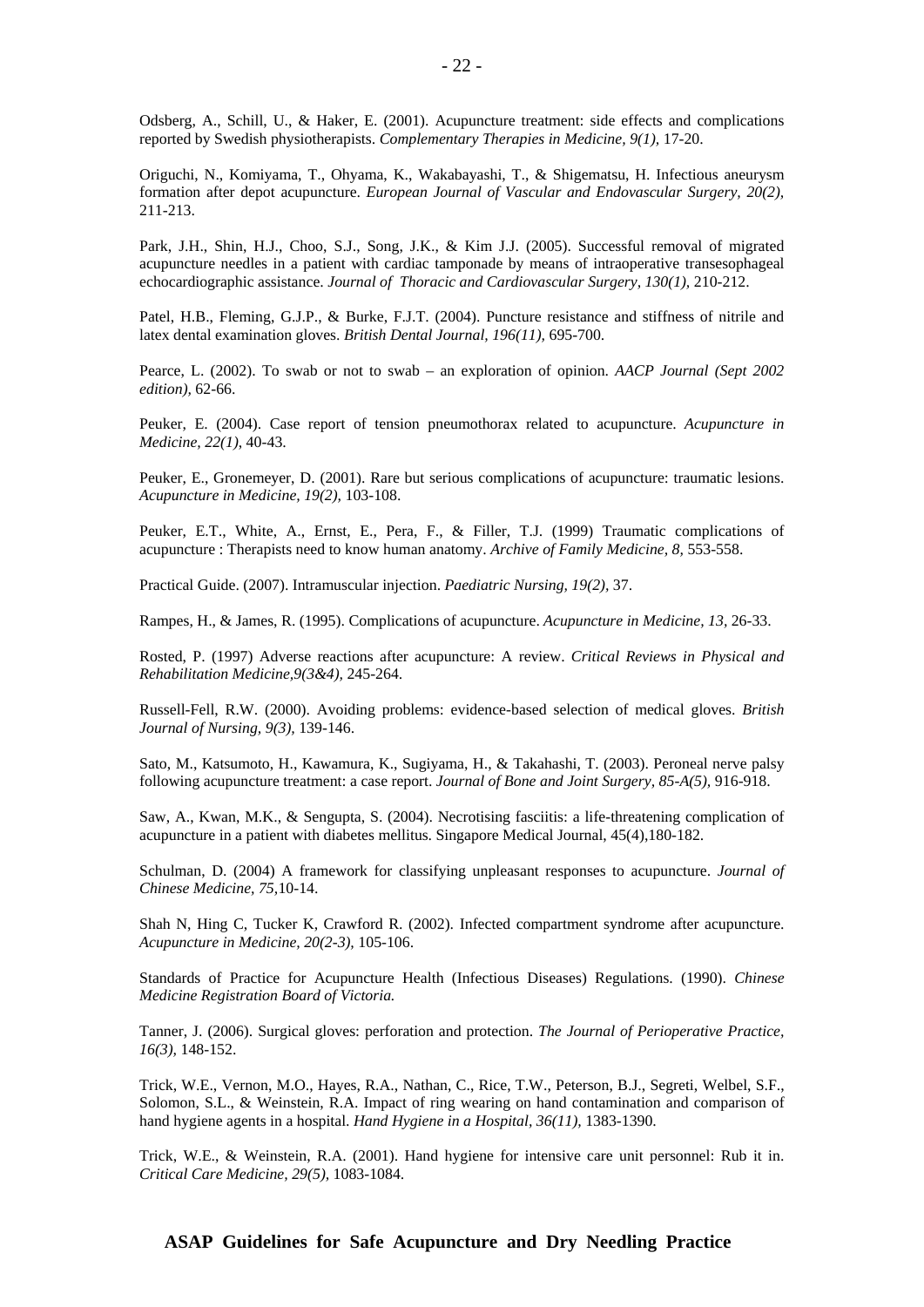Odsberg, A., Schill, U., & Haker, E. (2001). Acupuncture treatment: side effects and complications reported by Swedish physiotherapists. *Complementary Therapies in Medicine, 9(1),* 17-20.

Origuchi, N., Komiyama, T., Ohyama, K., Wakabayashi, T., & Shigematsu, H. Infectious aneurysm formation after depot acupuncture. *European Journal of Vascular and Endovascular Surgery, 20(2),* 211-213.

Park, J.H., Shin, H.J., Choo, S.J., Song, J.K., & Kim J.J. (2005). Successful removal of migrated acupuncture needles in a patient with cardiac tamponade by means of intraoperative transesophageal echocardiographic assistance. *Journal of Thoracic and Cardiovascular Surgery, 130(1),* 210-212.

Patel, H.B., Fleming, G.J.P., & Burke, F.J.T. (2004). Puncture resistance and stiffness of nitrile and latex dental examination gloves. *British Dental Journal, 196(11),* 695-700.

Pearce, L. (2002). To swab or not to swab – an exploration of opinion. *AACP Journal (Sept 2002 edition),* 62-66.

Peuker, E. (2004). Case report of tension pneumothorax related to acupuncture. *Acupuncture in Medicine, 22(1)*, 40-43.

Peuker, E., Gronemeyer, D. (2001). Rare but serious complications of acupuncture: traumatic lesions. *Acupuncture in Medicine, 19(2),* 103-108.

Peuker, E.T., White, A., Ernst, E., Pera, F., & Filler, T.J. (1999) Traumatic complications of acupuncture : Therapists need to know human anatomy. *Archive of Family Medicine, 8,* 553-558.

Practical Guide. (2007). Intramuscular injection. *Paediatric Nursing, 19(2),* 37.

Rampes, H., & James, R. (1995). Complications of acupuncture. *Acupuncture in Medicine, 13,* 26-33.

Rosted, P. (1997) Adverse reactions after acupuncture: A review. *Critical Reviews in Physical and Rehabilitation Medicine,9(3&4),* 245-264.

Russell-Fell, R.W. (2000). Avoiding problems: evidence-based selection of medical gloves. *British Journal of Nursing, 9(3),* 139-146.

Sato, M., Katsumoto, H., Kawamura, K., Sugiyama, H., & Takahashi, T. (2003). Peroneal nerve palsy following acupuncture treatment: a case report. *Journal of Bone and Joint Surgery, 85-A(5),* 916-918.

Saw, A., Kwan, M.K., & Sengupta, S. (2004). Necrotising fasciitis: a life-threatening complication of acupuncture in a patient with diabetes mellitus. Singapore Medical Journal, 45(4),180-182.

Schulman, D. (2004) A framework for classifying unpleasant responses to acupuncture. *Journal of Chinese Medicine, 75,*10-14.

Shah N, Hing C, Tucker K, Crawford R. (2002). Infected compartment syndrome after acupuncture. *Acupuncture in Medicine, 20(2-3),* 105-106.

Standards of Practice for Acupuncture Health (Infectious Diseases) Regulations. (1990). *Chinese Medicine Registration Board of Victoria.* 

Tanner, J. (2006). Surgical gloves: perforation and protection. *The Journal of Perioperative Practice, 16(3),* 148-152.

Trick, W.E., Vernon, M.O., Hayes, R.A., Nathan, C., Rice, T.W., Peterson, B.J., Segreti, Welbel, S.F., Solomon, S.L., & Weinstein, R.A. Impact of ring wearing on hand contamination and comparison of hand hygiene agents in a hospital. *Hand Hygiene in a Hospital, 36(11),* 1383-1390.

Trick, W.E., & Weinstein, R.A. (2001). Hand hygiene for intensive care unit personnel: Rub it in. *Critical Care Medicine, 29(5),* 1083-1084.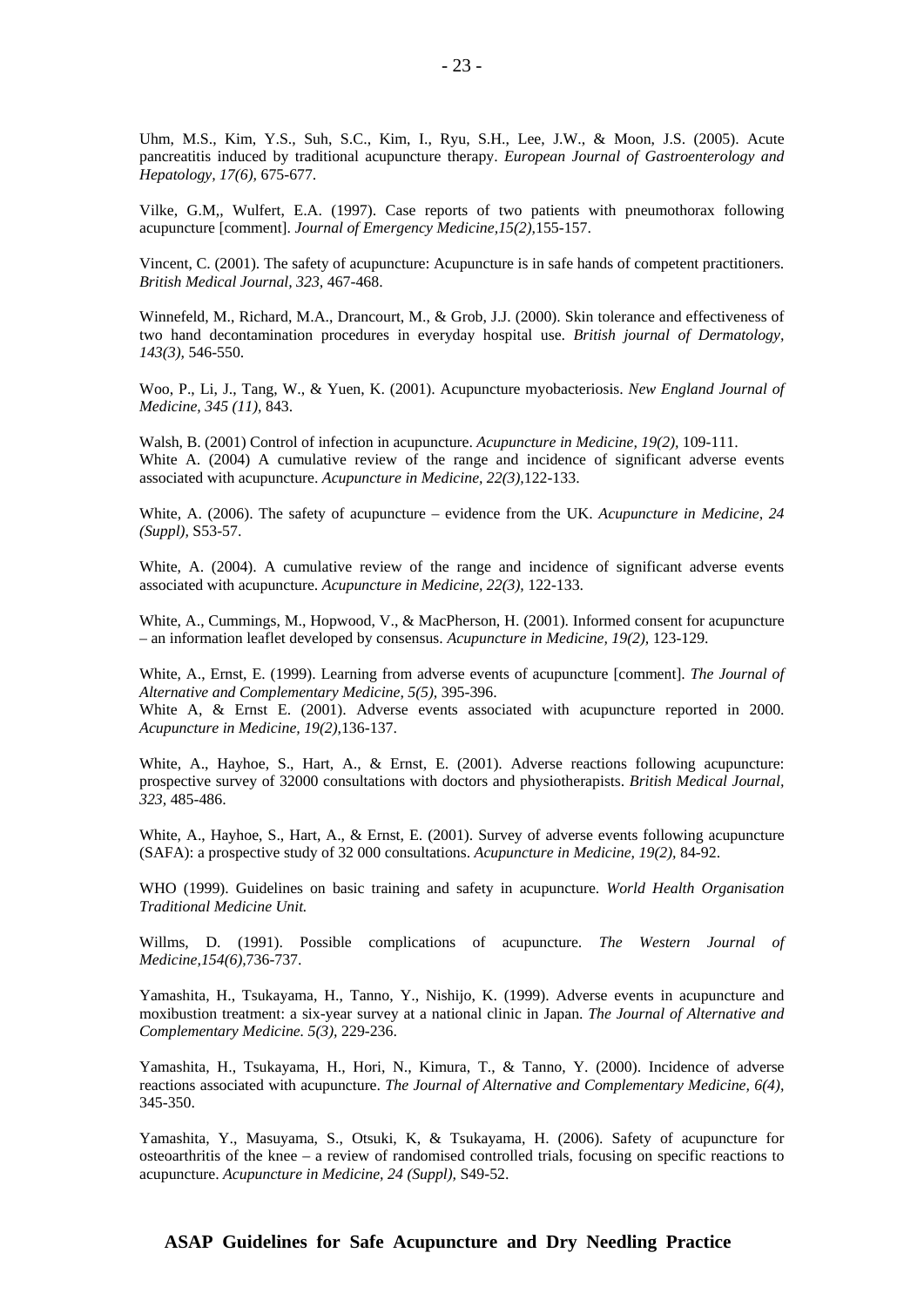Uhm, M.S., Kim, Y.S., Suh, S.C., Kim, I., Ryu, S.H., Lee, J.W., & Moon, J.S. (2005). Acute pancreatitis induced by traditional acupuncture therapy. *European Journal of Gastroenterology and Hepatology, 17(6),* 675-677.

Vilke, G.M,, Wulfert, E.A. (1997). Case reports of two patients with pneumothorax following acupuncture [comment]. *Journal of Emergency Medicine,15(2),*155-157.

Vincent, C. (2001). The safety of acupuncture: Acupuncture is in safe hands of competent practitioners. *British Medical Journal, 323,* 467-468.

Winnefeld, M., Richard, M.A., Drancourt, M., & Grob, J.J. (2000). Skin tolerance and effectiveness of two hand decontamination procedures in everyday hospital use. *British journal of Dermatology, 143(3),* 546-550.

Woo, P., Li, J., Tang, W., & Yuen, K. (2001). Acupuncture myobacteriosis. *New England Journal of Medicine, 345 (11),* 843.

Walsh, B. (2001) Control of infection in acupuncture. *Acupuncture in Medicine, 19(2),* 109-111. White A. (2004) A cumulative review of the range and incidence of significant adverse events associated with acupuncture. *Acupuncture in Medicine, 22(3),*122-133.

White, A. (2006). The safety of acupuncture – evidence from the UK. *Acupuncture in Medicine, 24 (Suppl),* S53-57.

White, A. (2004). A cumulative review of the range and incidence of significant adverse events associated with acupuncture. *Acupuncture in Medicine, 22(3),* 122-133.

White, A., Cummings, M., Hopwood, V., & MacPherson, H. (2001). Informed consent for acupuncture – an information leaflet developed by consensus. *Acupuncture in Medicine, 19(2),* 123-129.

White, A., Ernst, E. (1999). Learning from adverse events of acupuncture [comment]. *The Journal of Alternative and Complementary Medicine, 5(5),* 395-396.

White A, & Ernst E. (2001). Adverse events associated with acupuncture reported in 2000. *Acupuncture in Medicine, 19(2)*,136-137.

White, A., Hayhoe, S., Hart, A., & Ernst, E. (2001). Adverse reactions following acupuncture: prospective survey of 32000 consultations with doctors and physiotherapists. *British Medical Journal, 323,* 485-486.

White, A., Hayhoe, S., Hart, A., & Ernst, E. (2001). Survey of adverse events following acupuncture (SAFA): a prospective study of 32 000 consultations. *Acupuncture in Medicine, 19(2),* 84-92.

WHO (1999). Guidelines on basic training and safety in acupuncture. *World Health Organisation Traditional Medicine Unit.*

Willms, D. (1991). Possible complications of acupuncture. *The Western Journal of Medicine,154(6),*736-737.

Yamashita, H., Tsukayama, H., Tanno, Y., Nishijo, K. (1999). Adverse events in acupuncture and moxibustion treatment: a six-year survey at a national clinic in Japan. *The Journal of Alternative and Complementary Medicine. 5(3),* 229-236.

Yamashita, H., Tsukayama, H., Hori, N., Kimura, T., & Tanno, Y. (2000). Incidence of adverse reactions associated with acupuncture. *The Journal of Alternative and Complementary Medicine, 6(4),*  345-350.

Yamashita, Y., Masuyama, S., Otsuki, K, & Tsukayama, H. (2006). Safety of acupuncture for osteoarthritis of the knee – a review of randomised controlled trials, focusing on specific reactions to acupuncture. *Acupuncture in Medicine, 24 (Suppl),* S49-52.